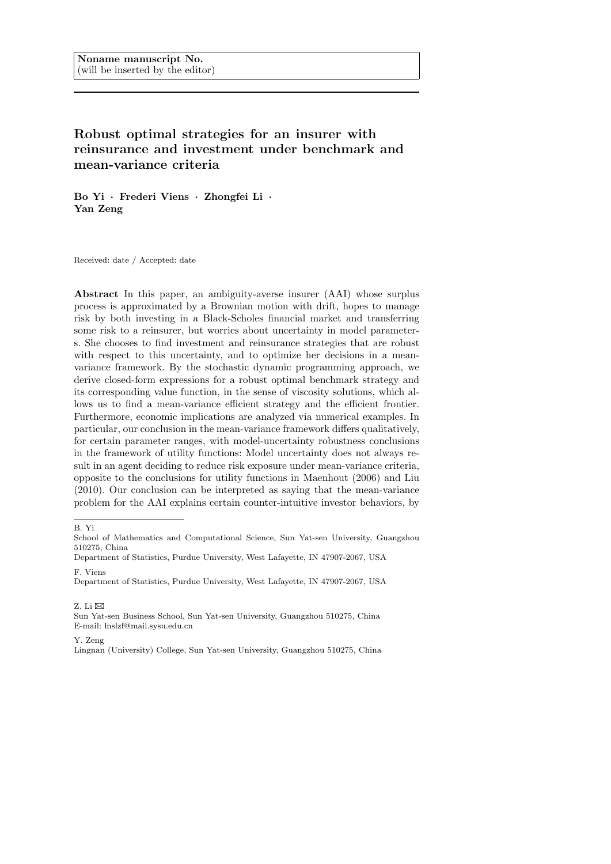# **Robust optimal strategies for an insurer with reinsurance and investment under benchmark and mean-variance criteria**

**Bo Yi** *·* **Frederi Viens** *·* **Zhongfei Li** *·* **Yan Zeng**

Received: date / Accepted: date

**Abstract** In this paper, an ambiguity-averse insurer (AAI) whose surplus process is approximated by a Brownian motion with drift, hopes to manage risk by both investing in a Black-Scholes financial market and transferring some risk to a reinsurer, but worries about uncertainty in model parameters. She chooses to find investment and reinsurance strategies that are robust with respect to this uncertainty, and to optimize her decisions in a meanvariance framework. By the stochastic dynamic programming approach, we derive closed-form expressions for a robust optimal benchmark strategy and its corresponding value function, in the sense of viscosity solutions, which allows us to find a mean-variance efficient strategy and the efficient frontier. Furthermore, economic implications are analyzed via numerical examples. In particular, our conclusion in the mean-variance framework differs qualitatively, for certain parameter ranges, with model-uncertainty robustness conclusions in the framework of utility functions: Model uncertainty does not always result in an agent deciding to reduce risk exposure under mean-variance criteria, opposite to the conclusions for utility functions in Maenhout (2006) and Liu (2010). Our conclusion can be interpreted as saying that the mean-variance problem for the AAI explains certain counter-intuitive investor behaviors, by

Z. Li  $\boxtimes$ 

Sun Yat-sen Business School, Sun Yat-sen University, Guangzhou 510275, China E-mail: lnslzf@mail.sysu.edu.cn

Y. Zeng

Lingnan (University) College, Sun Yat-sen University, Guangzhou 510275, China

B. Yi

School of Mathematics and Computational Science, Sun Yat-sen University, Guangzhou 510275, China

Department of Statistics, Purdue University, West Lafayette, IN 47907-2067, USA F. Viens

Department of Statistics, Purdue University, West Lafayette, IN 47907-2067, USA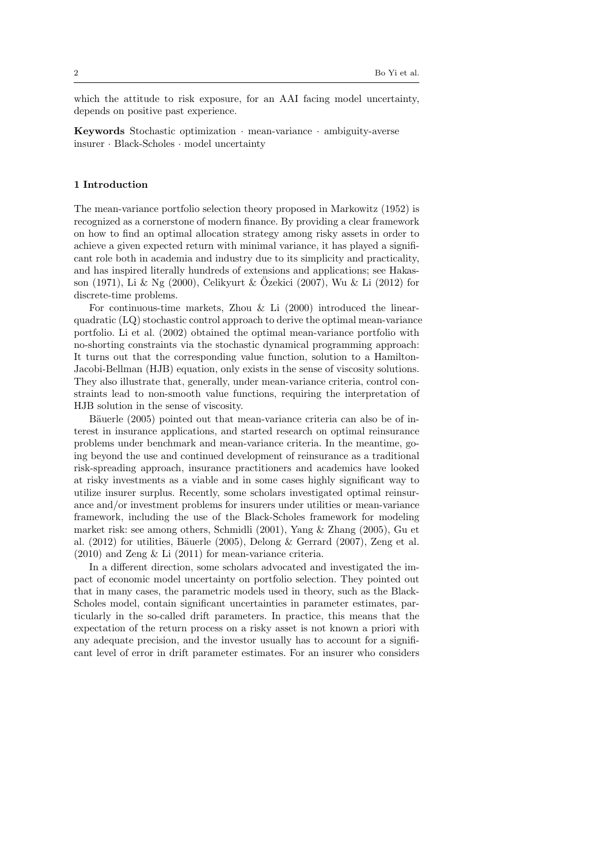which the attitude to risk exposure, for an AAI facing model uncertainty, depends on positive past experience.

**Keywords** Stochastic optimization *·* mean-variance *·* ambiguity-averse insurer *·* Black-Scholes *·* model uncertainty

## **1 Introduction**

The mean-variance portfolio selection theory proposed in Markowitz (1952) is recognized as a cornerstone of modern finance. By providing a clear framework on how to find an optimal allocation strategy among risky assets in order to achieve a given expected return with minimal variance, it has played a significant role both in academia and industry due to its simplicity and practicality, and has inspired literally hundreds of extensions and applications; see Hakasson (1971), Li & Ng (2000), Celikyurt & Ozekici (2007), Wu & Li (2012) for discrete-time problems.

For continuous-time markets, Zhou  $&$  Li  $(2000)$  introduced the linearquadratic (LQ) stochastic control approach to derive the optimal mean-variance portfolio. Li et al. (2002) obtained the optimal mean-variance portfolio with no-shorting constraints via the stochastic dynamical programming approach: It turns out that the corresponding value function, solution to a Hamilton-Jacobi-Bellman (HJB) equation, only exists in the sense of viscosity solutions. They also illustrate that, generally, under mean-variance criteria, control constraints lead to non-smooth value functions, requiring the interpretation of HJB solution in the sense of viscosity.

Bäuerle (2005) pointed out that mean-variance criteria can also be of interest in insurance applications, and started research on optimal reinsurance problems under benchmark and mean-variance criteria. In the meantime, going beyond the use and continued development of reinsurance as a traditional risk-spreading approach, insurance practitioners and academics have looked at risky investments as a viable and in some cases highly significant way to utilize insurer surplus. Recently, some scholars investigated optimal reinsurance and/or investment problems for insurers under utilities or mean-variance framework, including the use of the Black-Scholes framework for modeling market risk: see among others, Schmidli (2001), Yang & Zhang (2005), Gu et al.  $(2012)$  for utilities, Bäuerle  $(2005)$ , Delong & Gerrard  $(2007)$ , Zeng et al. (2010) and Zeng & Li (2011) for mean-variance criteria.

In a different direction, some scholars advocated and investigated the impact of economic model uncertainty on portfolio selection. They pointed out that in many cases, the parametric models used in theory, such as the Black-Scholes model, contain significant uncertainties in parameter estimates, particularly in the so-called drift parameters. In practice, this means that the expectation of the return process on a risky asset is not known a priori with any adequate precision, and the investor usually has to account for a significant level of error in drift parameter estimates. For an insurer who considers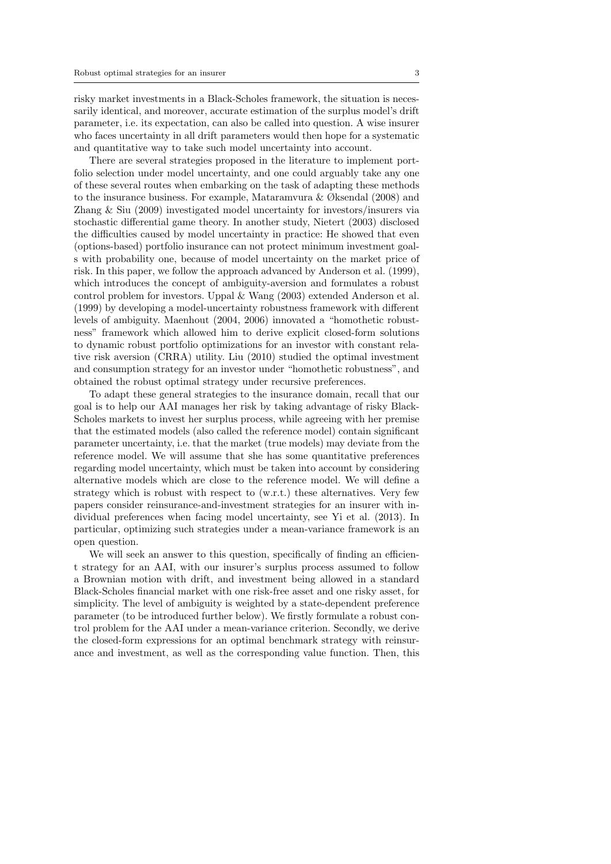risky market investments in a Black-Scholes framework, the situation is necessarily identical, and moreover, accurate estimation of the surplus model's drift parameter, i.e. its expectation, can also be called into question. A wise insurer who faces uncertainty in all drift parameters would then hope for a systematic and quantitative way to take such model uncertainty into account.

There are several strategies proposed in the literature to implement portfolio selection under model uncertainty, and one could arguably take any one of these several routes when embarking on the task of adapting these methods to the insurance business. For example, Mataramvura & Øksendal (2008) and Zhang & Siu (2009) investigated model uncertainty for investors/insurers via stochastic differential game theory. In another study, Nietert (2003) disclosed the difficulties caused by model uncertainty in practice: He showed that even (options-based) portfolio insurance can not protect minimum investment goals with probability one, because of model uncertainty on the market price of risk. In this paper, we follow the approach advanced by Anderson et al. (1999), which introduces the concept of ambiguity-aversion and formulates a robust control problem for investors. Uppal & Wang (2003) extended Anderson et al. (1999) by developing a model-uncertainty robustness framework with different levels of ambiguity. Maenhout (2004, 2006) innovated a "homothetic robustness" framework which allowed him to derive explicit closed-form solutions to dynamic robust portfolio optimizations for an investor with constant relative risk aversion (CRRA) utility. Liu (2010) studied the optimal investment and consumption strategy for an investor under "homothetic robustness", and obtained the robust optimal strategy under recursive preferences.

To adapt these general strategies to the insurance domain, recall that our goal is to help our AAI manages her risk by taking advantage of risky Black-Scholes markets to invest her surplus process, while agreeing with her premise that the estimated models (also called the reference model) contain significant parameter uncertainty, i.e. that the market (true models) may deviate from the reference model. We will assume that she has some quantitative preferences regarding model uncertainty, which must be taken into account by considering alternative models which are close to the reference model. We will define a strategy which is robust with respect to (w.r.t.) these alternatives. Very few papers consider reinsurance-and-investment strategies for an insurer with individual preferences when facing model uncertainty, see Yi et al. (2013). In particular, optimizing such strategies under a mean-variance framework is an open question.

We will seek an answer to this question, specifically of finding an efficient strategy for an AAI, with our insurer's surplus process assumed to follow a Brownian motion with drift, and investment being allowed in a standard Black-Scholes financial market with one risk-free asset and one risky asset, for simplicity. The level of ambiguity is weighted by a state-dependent preference parameter (to be introduced further below). We firstly formulate a robust control problem for the AAI under a mean-variance criterion. Secondly, we derive the closed-form expressions for an optimal benchmark strategy with reinsurance and investment, as well as the corresponding value function. Then, this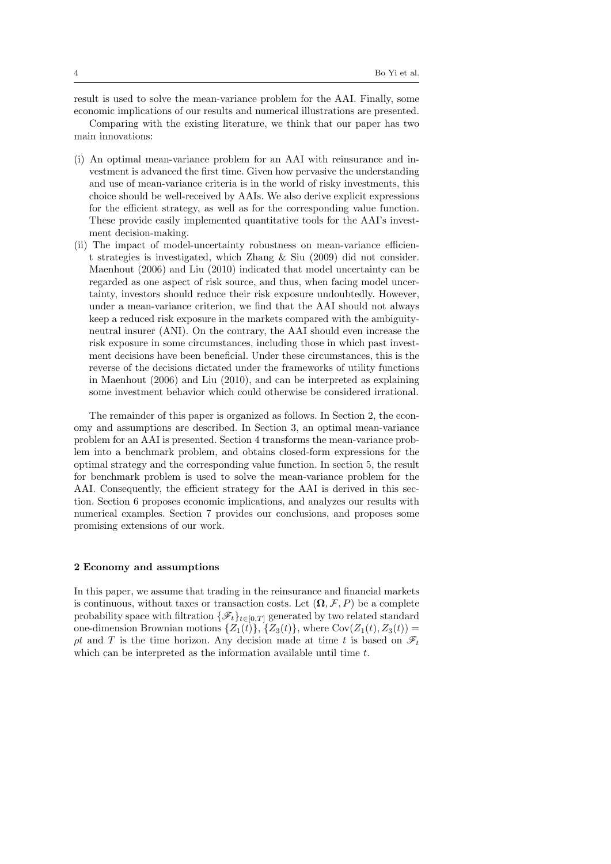result is used to solve the mean-variance problem for the AAI. Finally, some

economic implications of our results and numerical illustrations are presented. Comparing with the existing literature, we think that our paper has two main innovations:

- (i) An optimal mean-variance problem for an AAI with reinsurance and investment is advanced the first time. Given how pervasive the understanding and use of mean-variance criteria is in the world of risky investments, this choice should be well-received by AAIs. We also derive explicit expressions for the efficient strategy, as well as for the corresponding value function. These provide easily implemented quantitative tools for the AAI's investment decision-making.
- (ii) The impact of model-uncertainty robustness on mean-variance efficient strategies is investigated, which Zhang & Siu (2009) did not consider. Maenhout (2006) and Liu (2010) indicated that model uncertainty can be regarded as one aspect of risk source, and thus, when facing model uncertainty, investors should reduce their risk exposure undoubtedly. However, under a mean-variance criterion, we find that the AAI should not always keep a reduced risk exposure in the markets compared with the ambiguityneutral insurer (ANI). On the contrary, the AAI should even increase the risk exposure in some circumstances, including those in which past investment decisions have been beneficial. Under these circumstances, this is the reverse of the decisions dictated under the frameworks of utility functions in Maenhout (2006) and Liu (2010), and can be interpreted as explaining some investment behavior which could otherwise be considered irrational.

The remainder of this paper is organized as follows. In Section 2, the economy and assumptions are described. In Section 3, an optimal mean-variance problem for an AAI is presented. Section 4 transforms the mean-variance problem into a benchmark problem, and obtains closed-form expressions for the optimal strategy and the corresponding value function. In section 5, the result for benchmark problem is used to solve the mean-variance problem for the AAI. Consequently, the efficient strategy for the AAI is derived in this section. Section 6 proposes economic implications, and analyzes our results with numerical examples. Section 7 provides our conclusions, and proposes some promising extensions of our work.

## **2 Economy and assumptions**

In this paper, we assume that trading in the reinsurance and financial markets is continuous, without taxes or transaction costs. Let  $(\Omega, \mathcal{F}, P)$  be a complete probability space with filtration  $\{\mathscr{F}_t\}_{t\in[0,T]}$  generated by two related standard one-dimension Brownian motions  $\{Z_1(t)\}, \{Z_3(t)\},$  where  $Cov(Z_1(t), Z_3(t)) =$ *ρt* and *T* is the time horizon. Any decision made at time *t* is based on  $\mathscr{F}_t$ which can be interpreted as the information available until time *t*.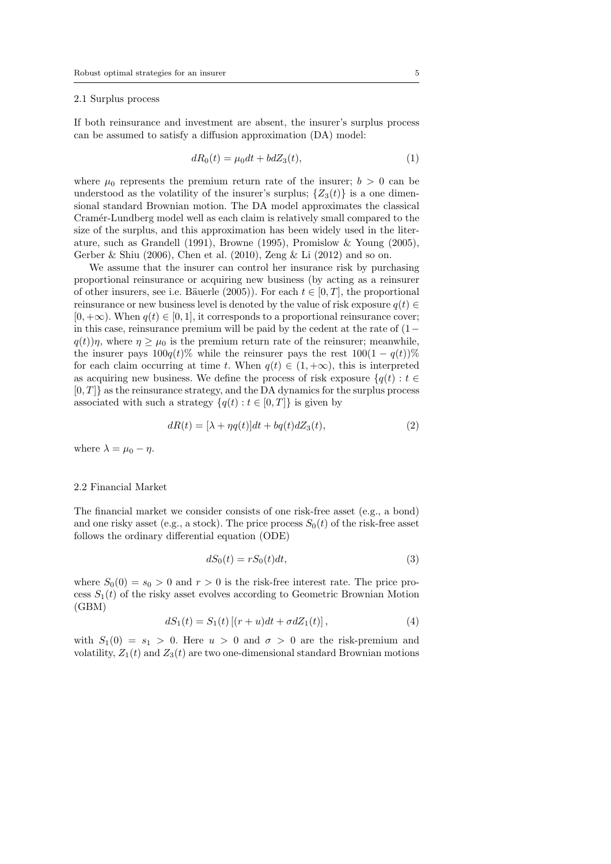#### 2.1 Surplus process

If both reinsurance and investment are absent, the insurer's surplus process can be assumed to satisfy a diffusion approximation (DA) model:

$$
dR_0(t) = \mu_0 dt + bdZ_3(t),\tag{1}
$$

where  $\mu_0$  represents the premium return rate of the insurer;  $b > 0$  can be understood as the volatility of the insurer's surplus;  $\{Z_3(t)\}\$ is a one dimensional standard Brownian motion. The DA model approximates the classical Cramér-Lundberg model well as each claim is relatively small compared to the size of the surplus, and this approximation has been widely used in the literature, such as Grandell (1991), Browne (1995), Promislow & Young (2005), Gerber & Shiu (2006), Chen et al. (2010), Zeng & Li (2012) and so on.

We assume that the insurer can control her insurance risk by purchasing proportional reinsurance or acquiring new business (by acting as a reinsurer of other insurers, see i.e. Bäuerle (2005)). For each  $t \in [0, T]$ , the proportional reinsurance or new business level is denoted by the value of risk exposure  $q(t) \in$  $[0, +\infty)$ . When  $q(t) \in [0, 1]$ , it corresponds to a proportional reinsurance cover; in this case, reinsurance premium will be paid by the cedent at the rate of (1*−*  $q(t)$ )*η*, where  $\eta \geq \mu_0$  is the premium return rate of the reinsurer; meanwhile, the insurer pays  $100q(t)\%$  while the reinsurer pays the rest  $100(1 - q(t))\%$ for each claim occurring at time *t*. When  $q(t) \in (1, +\infty)$ , this is interpreted as acquiring new business. We define the process of risk exposure  $\{q(t): t \in$ [0*, T*]*}* as the reinsurance strategy, and the DA dynamics for the surplus process associated with such a strategy  $\{q(t): t \in [0, T]\}$  is given by

$$
dR(t) = [\lambda + \eta q(t)]dt + bq(t)dZ_3(t), \qquad (2)
$$

where  $\lambda = \mu_0 - \eta$ .

# 2.2 Financial Market

The financial market we consider consists of one risk-free asset (e.g., a bond) and one risky asset (e.g., a stock). The price process  $S_0(t)$  of the risk-free asset follows the ordinary differential equation (ODE)

$$
dS_0(t) = rS_0(t)dt,\t\t(3)
$$

where  $S_0(0) = s_0 > 0$  and  $r > 0$  is the risk-free interest rate. The price process  $S_1(t)$  of the risky asset evolves according to Geometric Brownian Motion (GBM)

$$
dS_1(t) = S_1(t) [(r+u)dt + \sigma dZ_1(t)], \qquad (4)
$$

with  $S_1(0) = s_1 > 0$ . Here  $u > 0$  and  $\sigma > 0$  are the risk-premium and volatility,  $Z_1(t)$  and  $Z_3(t)$  are two one-dimensional standard Brownian motions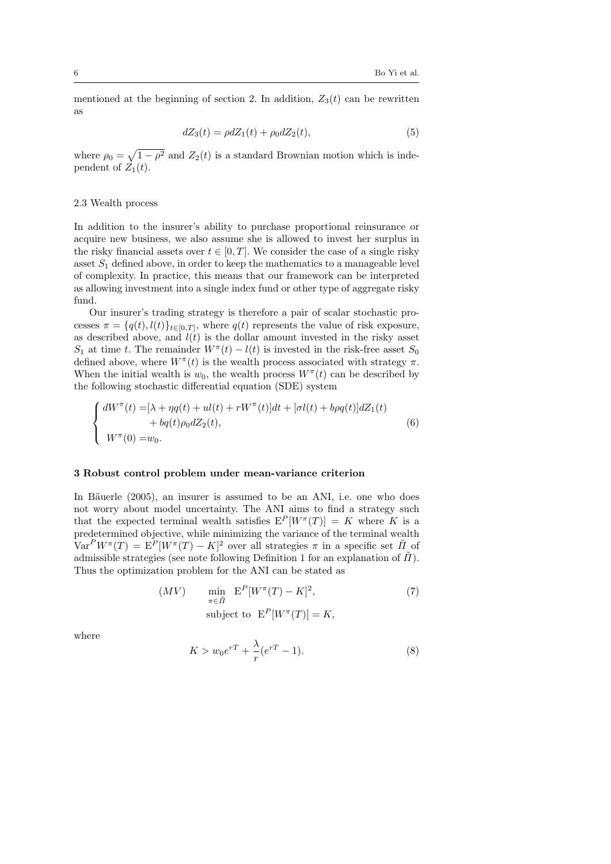mentioned at the beginning of section 2. In addition,  $Z_3(t)$  can be rewritten as

$$
dZ_3(t) = \rho dZ_1(t) + \rho_0 dZ_2(t),\tag{5}
$$

where  $\rho_0 = \sqrt{1 - \rho^2}$  and  $Z_2(t)$  is a standard Brownian motion which is independent of  $Z_1(t)$ .

## 2.3 Wealth process

In addition to the insurer's ability to purchase proportional reinsurance or acquire new business, we also assume she is allowed to invest her surplus in the risky financial assets over  $t \in [0, T]$ . We consider the case of a single risky asset  $S_1$  defined above, in order to keep the mathematics to a manageable level of complexity. In practice, this means that our framework can be interpreted as allowing investment into a single index fund or other type of aggregate risky fund.

Our insurer's trading strategy is therefore a pair of scalar stochastic processes  $\pi = \{q(t), l(t)\}_{t \in [0,T]}$ , where  $q(t)$  represents the value of risk exposure, as described above, and  $l(t)$  is the dollar amount invested in the risky asset *S*<sub>1</sub> at time *t*. The remainder  $W^{\pi}(t) - l(t)$  is invested in the risk-free asset *S*<sub>0</sub> defined above, where  $W^{\pi}(t)$  is the wealth process associated with strategy  $\pi$ . When the initial wealth is  $w_0$ , the wealth process  $W^{\pi}(t)$  can be described by the following stochastic differential equation (SDE) system

$$
\begin{cases}\ndW^{\pi}(t) = [\lambda + \eta q(t) + ul(t) + rW^{\pi}(t)]dt + [\sigma l(t) + b\rho q(t)]dZ_1(t) \\
\quad + bq(t)\rho_0 dZ_2(t), \\
W^{\pi}(0) = w_0.\n\end{cases} \tag{6}
$$

## **3 Robust control problem under mean-variance criterion**

In Bäuerle (2005), an insurer is assumed to be an ANI, i.e. one who does not worry about model uncertainty. The ANI aims to find a strategy such that the expected terminal wealth satisfies  $E^P[W^{\pi}(T)] = K$  where K is a predetermined objective, while minimizing the variance of the terminal wealth  $Var^P W^{\pi}(T) = E^P[W^{\pi}(T) - K]^2$  over all strategies  $\pi$  in a specific set  $\tilde{\Pi}$  of admissible strategies (see note following Definition 1 for an explanation of  $\tilde{\Pi}$ ). Thus the optimization problem for the ANI can be stated as

$$
(MV) \qquad \min_{\pi \in \tilde{\Pi}} \mathbf{E}^{P}[W^{\pi}(T) - K]^{2},
$$
\n
$$
\text{subject to } \mathbf{E}^{P}[W^{\pi}(T)] = K,
$$
\n
$$
(7)
$$

where

$$
K > w_0 e^{rT} + \frac{\lambda}{r} (e^{rT} - 1).
$$
 (8)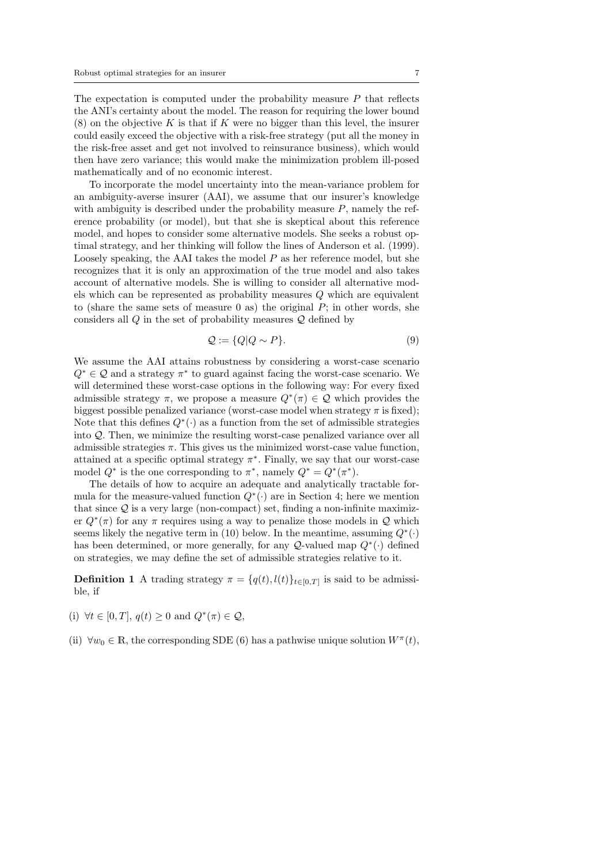The expectation is computed under the probability measure *P* that reflects the ANI's certainty about the model. The reason for requiring the lower bound (8) on the objective *K* is that if *K* were no bigger than this level, the insurer could easily exceed the objective with a risk-free strategy (put all the money in the risk-free asset and get not involved to reinsurance business), which would then have zero variance; this would make the minimization problem ill-posed mathematically and of no economic interest.

To incorporate the model uncertainty into the mean-variance problem for an ambiguity-averse insurer (AAI), we assume that our insurer's knowledge with ambiguity is described under the probability measure *P*, namely the reference probability (or model), but that she is skeptical about this reference model, and hopes to consider some alternative models. She seeks a robust optimal strategy, and her thinking will follow the lines of Anderson et al. (1999). Loosely speaking, the AAI takes the model *P* as her reference model, but she recognizes that it is only an approximation of the true model and also takes account of alternative models. She is willing to consider all alternative models which can be represented as probability measures *Q* which are equivalent to (share the same sets of measure 0 as) the original *P*; in other words, she considers all *Q* in the set of probability measures *Q* defined by

$$
\mathcal{Q} := \{Q|Q \sim P\}.\tag{9}
$$

We assume the AAI attains robustness by considering a worst-case scenario *Q<sup>∗</sup> ∈ Q* and a strategy *π ∗* to guard against facing the worst-case scenario. We will determined these worst-case options in the following way: For every fixed admissible strategy  $\pi$ , we propose a measure  $Q^*(\pi) \in \mathcal{Q}$  which provides the biggest possible penalized variance (worst-case model when strategy  $\pi$  is fixed); Note that this defines *Q<sup>∗</sup>* (*·*) as a function from the set of admissible strategies into *Q*. Then, we minimize the resulting worst-case penalized variance over all admissible strategies  $\pi$ . This gives us the minimized worst-case value function, attained at a specific optimal strategy  $\pi^*$ . Finally, we say that our worst-case model  $Q^*$  is the one corresponding to  $\pi^*$ , namely  $Q^* = Q^*(\pi^*)$ .

The details of how to acquire an adequate and analytically tractable formula for the measure-valued function  $Q^*(\cdot)$  are in Section 4; here we mention that since *Q* is a very large (non-compact) set, finding a non-infinite maximizer  $Q^*(\pi)$  for any  $\pi$  requires using a way to penalize those models in  $Q$  which seems likely the negative term in (10) below. In the meantime, assuming  $Q^*(\cdot)$ has been determined, or more generally, for any *Q*-valued map *Q<sup>∗</sup>* (*·*) defined on strategies, we may define the set of admissible strategies relative to it.

**Definition 1** A trading strategy  $\pi = \{q(t), l(t)\}_{t \in [0,T]}$  is said to be admissible, if

- (i) *∀t ∈* [0*, T*], *q*(*t*) *≥* 0 and *Q<sup>∗</sup>* (*π*) *∈ Q*,
- (ii)  $\forall w_0 \in \mathbb{R}$ , the corresponding SDE (6) has a pathwise unique solution  $W^{\pi}(t)$ ,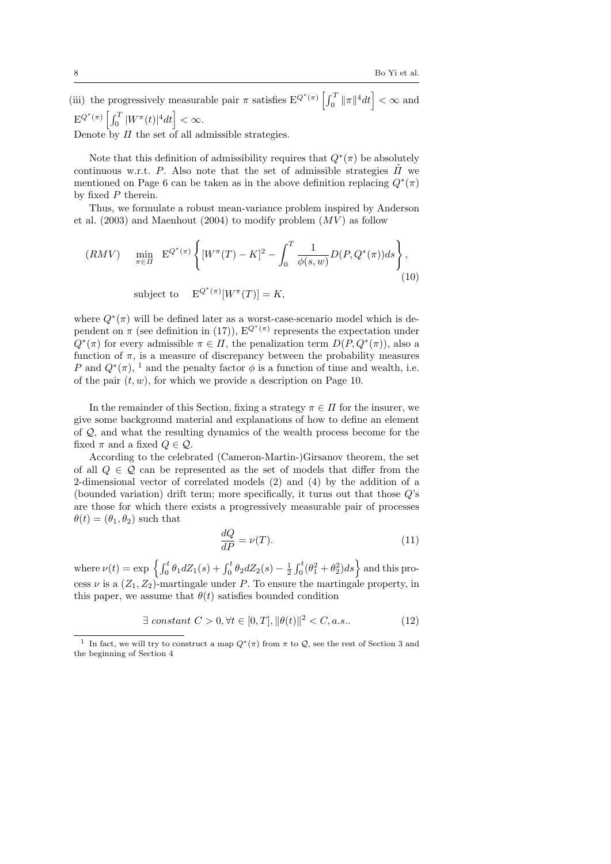(iii) the progressively measurable pair  $\pi$  satisfies  $E^{Q^*(\pi)}\left[\int_0^T \|\pi\|^4 dt\right] < \infty$  and  $E^{Q^*(\pi)}\left[\int_0^T |W^{\pi}(t)|^4 dt\right] < \infty.$ Denote by *Π* the set of all admissible strategies.

Note that this definition of admissibility requires that *Q<sup>∗</sup>* (*π*) be absolutely continuous w.r.t. *P*. Also note that the set of admissible strategies  $\tilde{\Pi}$  we mentioned on Page 6 can be taken as in the above definition replacing  $Q^*(\pi)$ by fixed *P* therein.

Thus, we formulate a robust mean-variance problem inspired by Anderson et al.  $(2003)$  and Maenhout  $(2004)$  to modify problem  $(MV)$  as follow

$$
(RMV) \quad \min_{\pi \in \Pi} \ E^{Q^*(\pi)} \left\{ [W^\pi(T) - K]^2 - \int_0^T \frac{1}{\phi(s, w)} D(P, Q^*(\pi)) ds \right\},\tag{10}
$$

subject to  $E^{Q^*(\pi)}[W^\pi(T)] = K$ ,

where  $Q^*(\pi)$  will be defined later as a worst-case-scenario model which is dependent on  $\pi$  (see definition in (17)),  $E^{Q^*(\pi)}$  represents the expectation under  $Q^*(\pi)$  for every admissible  $\pi \in \Pi$ , the penalization term  $D(P, Q^*(\pi))$ , also a function of  $\pi$ , is a measure of discrepancy between the probability measures *P* and  $Q^*(\pi)$ , <sup>1</sup> and the penalty factor  $\phi$  is a function of time and wealth, i.e. of the pair (*t, w*), for which we provide a description on Page 10.

In the remainder of this Section, fixing a strategy  $\pi \in \Pi$  for the insurer, we give some background material and explanations of how to define an element of *Q*, and what the resulting dynamics of the wealth process become for the fixed  $\pi$  and a fixed  $Q \in \mathcal{Q}$ .

According to the celebrated (Cameron-Martin-)Girsanov theorem, the set of all  $Q \in \mathcal{Q}$  can be represented as the set of models that differ from the 2-dimensional vector of correlated models (2) and (4) by the addition of a (bounded variation) drift term; more specifically, it turns out that those *Q*'s are those for which there exists a progressively measurable pair of processes  $\theta(t) = (\theta_1, \theta_2)$  such that

$$
\frac{dQ}{dP} = \nu(T). \tag{11}
$$

where  $\nu(t) = \exp \left\{ \int_0^t \theta_1 dZ_1(s) + \int_0^t \theta_2 dZ_2(s) - \frac{1}{2} \int_0^t (\theta_1^2 + \theta_2^2) ds \right\}$  and this process  $\nu$  is a  $(Z_1, Z_2)$ -martingale under *P*. To ensure the martingale property, in this paper, we assume that  $\theta(t)$  satisfies bounded condition

$$
\exists \ constant \ C > 0, \forall t \in [0, T], \|\theta(t)\|^2 < C, a.s.. \tag{12}
$$

<sup>&</sup>lt;sup>1</sup> In fact, we will try to construct a map  $Q^*(\pi)$  from  $\pi$  to  $Q$ , see the rest of Section 3 and the beginning of Section 4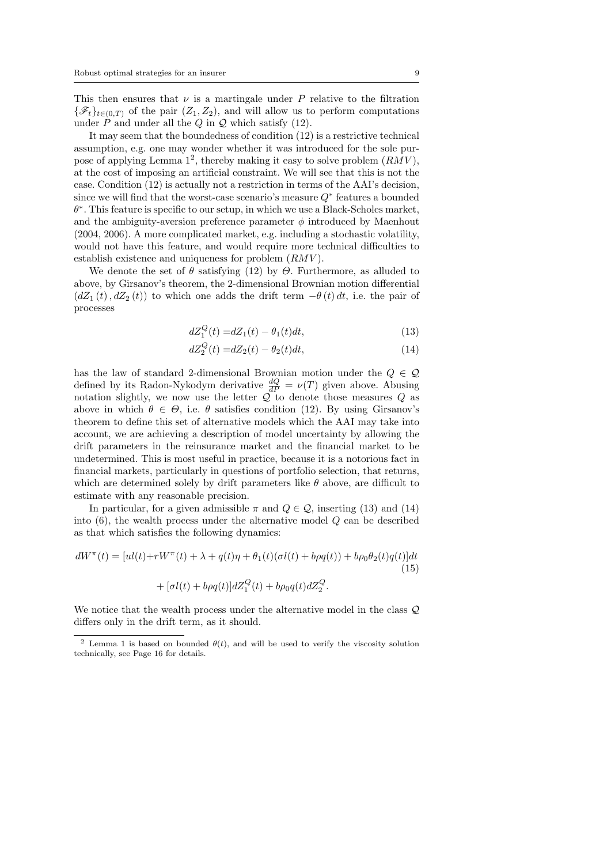This then ensures that  $\nu$  is a martingale under  $P$  relative to the filtration  $\{\mathscr{F}_t\}_{t\in(0,T)}$  of the pair  $(Z_1, Z_2)$ , and will allow us to perform computations under  $P$  and under all the  $Q$  in  $Q$  which satisfy (12).

It may seem that the boundedness of condition (12) is a restrictive technical assumption, e.g. one may wonder whether it was introduced for the sole purpose of applying Lemma  $1^2$ , thereby making it easy to solve problem  $(RMV)$ , at the cost of imposing an artificial constraint. We will see that this is not the case. Condition (12) is actually not a restriction in terms of the AAI's decision, since we will find that the worst-case scenario's measure *Q<sup>∗</sup>* features a bounded *θ ∗* . This feature is specific to our setup, in which we use a Black-Scholes market, and the ambiguity-aversion preference parameter  $\phi$  introduced by Maenhout (2004, 2006). A more complicated market, e.g. including a stochastic volatility, would not have this feature, and would require more technical difficulties to establish existence and uniqueness for problem (*RMV* ).

We denote the set of  $\theta$  satisfying (12) by  $\Theta$ . Furthermore, as alluded to above, by Girsanov's theorem, the 2-dimensional Brownian motion differential  $(dZ_1(t), dZ_2(t))$  to which one adds the drift term  $-\theta(t) dt$ , i.e. the pair of processes

$$
dZ_1^Q(t) = dZ_1(t) - \theta_1(t)dt,
$$
\n(13)

$$
dZ_2^Q(t) = dZ_2(t) - \theta_2(t)dt,
$$
\n(14)

has the law of standard 2-dimensional Brownian motion under the *Q ∈ Q* defined by its Radon-Nykodym derivative  $\frac{dQ}{dP} = \nu(T)$  given above. Abusing notation slightly, we now use the letter  $\overline{Q}$  to denote those measures  $Q$  as above in which  $\theta \in \Theta$ , i.e.  $\theta$  satisfies condition (12). By using Girsanov's theorem to define this set of alternative models which the AAI may take into account, we are achieving a description of model uncertainty by allowing the drift parameters in the reinsurance market and the financial market to be undetermined. This is most useful in practice, because it is a notorious fact in financial markets, particularly in questions of portfolio selection, that returns, which are determined solely by drift parameters like *θ* above, are difficult to estimate with any reasonable precision.

In particular, for a given admissible  $\pi$  and  $Q \in \mathcal{Q}$ , inserting (13) and (14) into (6), the wealth process under the alternative model *Q* can be described as that which satisfies the following dynamics:

$$
dW^{\pi}(t) = [ul(t) + rW^{\pi}(t) + \lambda + q(t)\eta + \theta_1(t)(\sigma l(t) + b\rho q(t)) + b\rho_0\theta_2(t)q(t)]dt
$$
  
+ 
$$
[\sigma l(t) + b\rho q(t)]dZ_1^Q(t) + b\rho_0 q(t)dZ_2^Q.
$$
 (15)

We notice that the wealth process under the alternative model in the class *Q* differs only in the drift term, as it should.

<sup>&</sup>lt;sup>2</sup> Lemma 1 is based on bounded  $\theta(t)$ , and will be used to verify the viscosity solution technically, see Page 16 for details.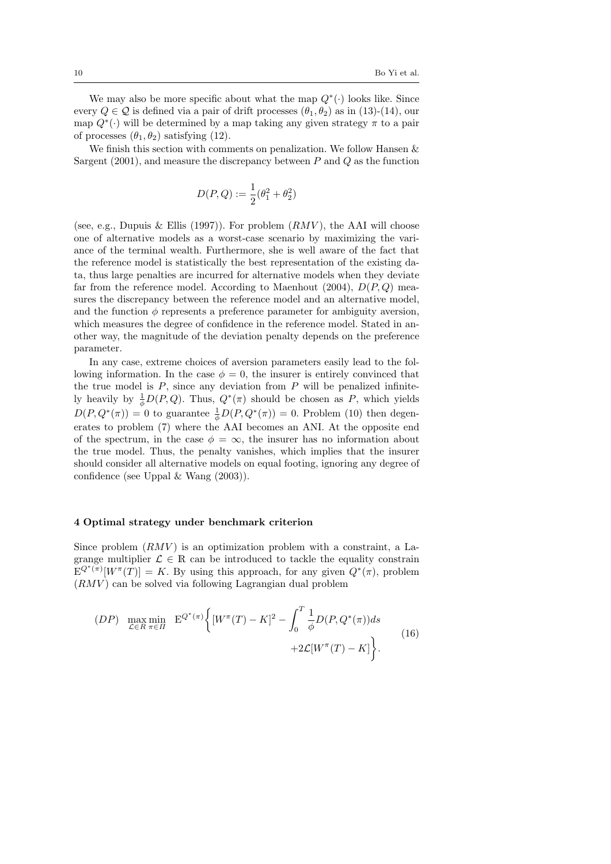We may also be more specific about what the map *Q<sup>∗</sup>* (*·*) looks like. Since every  $Q \in \mathcal{Q}$  is defined via a pair of drift processes  $(\theta_1, \theta_2)$  as in (13)-(14), our map  $Q^*(\cdot)$  will be determined by a map taking any given strategy  $\pi$  to a pair of processes  $(\theta_1, \theta_2)$  satisfying (12).

We finish this section with comments on penalization. We follow Hansen & Sargent (2001), and measure the discrepancy between *P* and *Q* as the function

$$
D(P,Q) := \frac{1}{2}(\theta_1^2 + \theta_2^2)
$$

(see, e.g., Dupuis & Ellis (1997)). For problem  $(RMV)$ , the AAI will choose one of alternative models as a worst-case scenario by maximizing the variance of the terminal wealth. Furthermore, she is well aware of the fact that the reference model is statistically the best representation of the existing data, thus large penalties are incurred for alternative models when they deviate far from the reference model. According to Maenhout (2004), *D*(*P, Q*) measures the discrepancy between the reference model and an alternative model, and the function  $\phi$  represents a preference parameter for ambiguity aversion, which measures the degree of confidence in the reference model. Stated in another way, the magnitude of the deviation penalty depends on the preference parameter.

In any case, extreme choices of aversion parameters easily lead to the following information. In the case  $\phi = 0$ , the insurer is entirely convinced that the true model is *P*, since any deviation from *P* will be penalized infinitely heavily by  $\frac{1}{\phi}D(P,Q)$ . Thus,  $Q^*(\pi)$  should be chosen as *P*, which yields  $D(P, Q^*(\pi)) = 0$  to guarantee  $\frac{1}{\phi}D(P, Q^*(\pi)) = 0$ . Problem (10) then degenerates to problem (7) where the AAI becomes an ANI. At the opposite end of the spectrum, in the case  $\phi = \infty$ , the insurer has no information about the true model. Thus, the penalty vanishes, which implies that the insurer should consider all alternative models on equal footing, ignoring any degree of confidence (see Uppal & Wang (2003)).

## **4 Optimal strategy under benchmark criterion**

Since problem (*RMV* ) is an optimization problem with a constraint, a Lagrange multiplier  $\mathcal{L} \in \mathbb{R}$  can be introduced to tackle the equality constrain  $E^{Q^*(\pi)}[W^{\pi}(T)] = K$ . By using this approach, for any given  $Q^*(\pi)$ , problem (*RMV* ) can be solved via following Lagrangian dual problem

$$
(DP) \quad \max_{\mathcal{L} \in R} \min_{\pi \in \Pi} \quad E^{Q^*(\pi)} \Big\{ [W^\pi(T) - K]^2 - \int_0^T \frac{1}{\phi} D(P, Q^*(\pi)) ds + 2\mathcal{L}[W^\pi(T) - K] \Big\}.
$$
\n<sup>(16)</sup>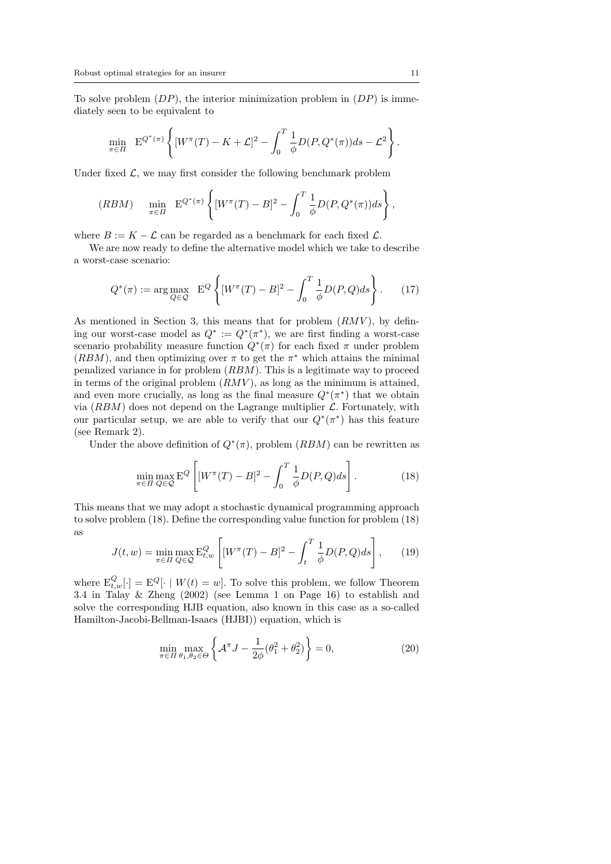To solve problem (*DP*), the interior minimization problem in (*DP*) is immediately seen to be equivalent to

$$
\min_{\pi \in \Pi} \ E^{Q^*(\pi)} \left\{ [W^\pi(T) - K + \mathcal{L}]^2 - \int_0^T \frac{1}{\phi} D(P, Q^*(\pi)) ds - \mathcal{L}^2 \right\}.
$$

Under fixed  $\mathcal{L}$ , we may first consider the following benchmark problem

$$
(RBM) \quad \min_{\pi \in \Pi} \ E^{Q^*(\pi)} \left\{ [W^\pi(T) - B]^2 - \int_0^T \frac{1}{\phi} D(P, Q^*(\pi)) ds \right\},
$$

where  $B := K - \mathcal{L}$  can be regarded as a benchmark for each fixed  $\mathcal{L}$ .

We are now ready to define the alternative model which we take to describe a worst-case scenario:

$$
Q^*(\pi) := \arg \max_{Q \in \mathcal{Q}} \mathbf{E}^Q \left\{ [W^\pi(T) - B]^2 - \int_0^T \frac{1}{\phi} D(P, Q) ds \right\}.
$$
 (17)

As mentioned in Section 3, this means that for problem (*RMV* ), by defining our worst-case model as  $Q^* := Q^*(\pi^*)$ , we are first finding a worst-case scenario probability measure function  $Q^*(\pi)$  for each fixed  $\pi$  under problem  $(RBM)$ , and then optimizing over  $\pi$  to get the  $\pi^*$  which attains the minimal penalized variance in for problem (*RBM*). This is a legitimate way to proceed in terms of the original problem  $(RMV)$ , as long as the minimum is attained, and even more crucially, as long as the final measure  $Q^*(\pi^*)$  that we obtain via  $(RBM)$  does not depend on the Lagrange multiplier  $\mathcal{L}$ . Fortunately, with our particular setup, we are able to verify that our  $Q^*(\pi^*)$  has this feature (see Remark 2).

Under the above definition of  $Q^*(\pi)$ , problem  $(RBM)$  can be rewritten as

$$
\min_{\pi \in \Pi} \max_{Q \in \mathcal{Q}} \mathcal{E}^Q \left[ [W^\pi(T) - B]^2 - \int_0^T \frac{1}{\phi} D(P, Q) ds \right]. \tag{18}
$$

This means that we may adopt a stochastic dynamical programming approach to solve problem (18). Define the corresponding value function for problem (18) as

$$
J(t, w) = \min_{\pi \in \Pi} \max_{Q \in \mathcal{Q}} \mathcal{E}_{t, w}^Q \left[ [W^\pi(T) - B]^2 - \int_t^T \frac{1}{\phi} D(P, Q) ds \right], \quad (19)
$$

where  $E_{t,w}^{Q}[\cdot] = E^{Q}[\cdot | W(t) = w]$ . To solve this problem, we follow Theorem 3.4 in Talay & Zheng (2002) (see Lemma 1 on Page 16) to establish and solve the corresponding HJB equation, also known in this case as a so-called Hamilton-Jacobi-Bellman-Isaacs (HJBI)) equation, which is

$$
\min_{\pi \in \Pi} \max_{\theta_1, \theta_2 \in \Theta} \left\{ \mathcal{A}^{\pi} J - \frac{1}{2\phi} (\theta_1^2 + \theta_2^2) \right\} = 0, \tag{20}
$$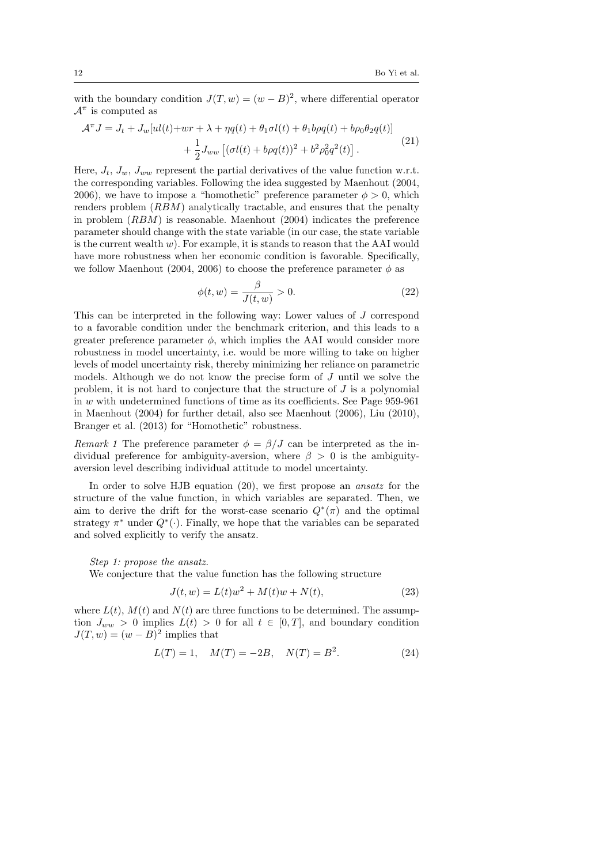with the boundary condition  $J(T, w) = (w - B)^2$ , where differential operator  $A^{\pi}$  is computed as

$$
\mathcal{A}^{\pi} J = J_t + J_w[u(t) + wr + \lambda + \eta q(t) + \theta_1 \sigma l(t) + \theta_1 b \rho q(t) + b \rho_0 \theta_2 q(t)] + \frac{1}{2} J_{ww} \left[ (\sigma l(t) + b \rho q(t))^2 + b^2 \rho_0^2 q^2(t) \right].
$$
\n(21)

Here,  $J_t$ ,  $J_w$ ,  $J_{ww}$  represent the partial derivatives of the value function w.r.t. the corresponding variables. Following the idea suggested by Maenhout (2004, 2006), we have to impose a "homothetic" preference parameter  $\phi > 0$ , which renders problem (*RBM*) analytically tractable, and ensures that the penalty in problem (*RBM*) is reasonable. Maenhout (2004) indicates the preference parameter should change with the state variable (in our case, the state variable is the current wealth *w*). For example, it is stands to reason that the AAI would have more robustness when her economic condition is favorable. Specifically, we follow Maenhout (2004, 2006) to choose the preference parameter  $\phi$  as

$$
\phi(t, w) = \frac{\beta}{J(t, w)} > 0.
$$
\n(22)

This can be interpreted in the following way: Lower values of *J* correspond to a favorable condition under the benchmark criterion, and this leads to a greater preference parameter  $\phi$ , which implies the AAI would consider more robustness in model uncertainty, i.e. would be more willing to take on higher levels of model uncertainty risk, thereby minimizing her reliance on parametric models. Although we do not know the precise form of *J* until we solve the problem, it is not hard to conjecture that the structure of *J* is a polynomial in *w* with undetermined functions of time as its coefficients. See Page 959-961 in Maenhout (2004) for further detail, also see Maenhout (2006), Liu (2010), Branger et al. (2013) for "Homothetic" robustness.

*Remark 1* The preference parameter  $\phi = \beta/J$  can be interpreted as the individual preference for ambiguity-aversion, where  $\beta > 0$  is the ambiguityaversion level describing individual attitude to model uncertainty.

In order to solve HJB equation (20), we first propose an *ansatz* for the structure of the value function, in which variables are separated. Then, we aim to derive the drift for the worst-case scenario  $Q^*(\pi)$  and the optimal strategy  $\pi^*$  under  $Q^*(\cdot)$ . Finally, we hope that the variables can be separated and solved explicitly to verify the ansatz.

## *Step 1: propose the ansatz.*

We conjecture that the value function has the following structure

$$
J(t, w) = L(t)w^{2} + M(t)w + N(t),
$$
\n(23)

where  $L(t)$ ,  $M(t)$  and  $N(t)$  are three functions to be determined. The assumption  $J_{ww} > 0$  implies  $L(t) > 0$  for all  $t \in [0, T]$ , and boundary condition  $J(T, w) = (w - B)^2$  implies that

$$
L(T) = 1, \quad M(T) = -2B, \quad N(T) = B^2.
$$
 (24)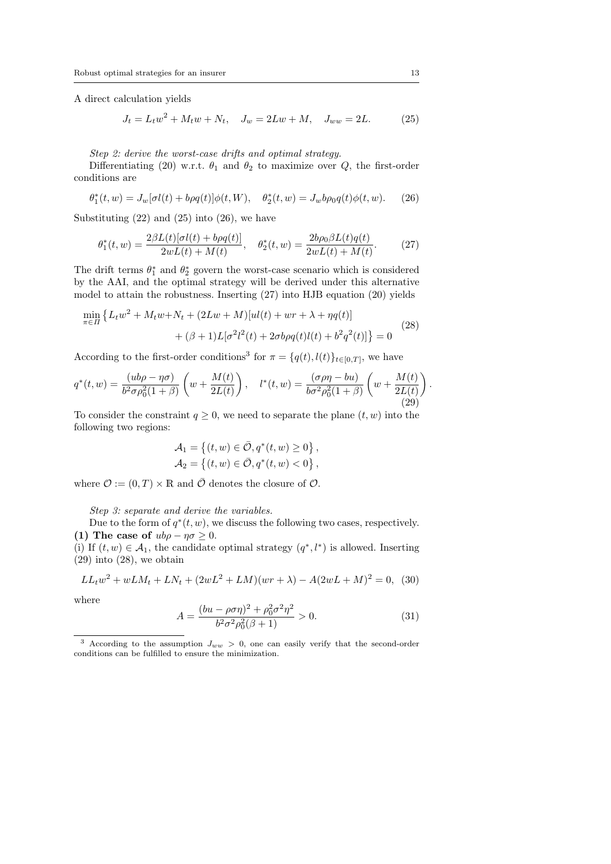A direct calculation yields

$$
J_t = L_t w^2 + M_t w + N_t, \quad J_w = 2Lw + M, \quad J_{ww} = 2L. \tag{25}
$$

*Step 2: derive the worst-case drifts and optimal strategy.*

Differentiating (20) w.r.t.  $\theta_1$  and  $\theta_2$  to maximize over *Q*, the first-order conditions are

$$
\theta_1^*(t, w) = J_w[\sigma l(t) + b\rho q(t)]\phi(t, W), \quad \theta_2^*(t, w) = J_w b\rho_0 q(t)\phi(t, w). \tag{26}
$$

Substituting  $(22)$  and  $(25)$  into  $(26)$ , we have

$$
\theta_1^*(t, w) = \frac{2\beta L(t)[\sigma l(t) + b\rho q(t)]}{2wL(t) + M(t)}, \quad \theta_2^*(t, w) = \frac{2b\rho_0 \beta L(t)q(t)}{2wL(t) + M(t)}.
$$
 (27)

The drift terms  $\theta_1^*$  and  $\theta_2^*$  govern the worst-case scenario which is considered by the AAI, and the optimal strategy will be derived under this alternative model to attain the robustness. Inserting (27) into HJB equation (20) yields

$$
\min_{\pi \in \Pi} \left\{ L_t w^2 + M_t w + N_t + (2Lw + M)[ul(t) + wr + \lambda + \eta q(t)] + (\beta + 1)L[\sigma^2 l^2(t) + 2\sigma b \rho q(t)l(t) + b^2 q^2(t)] \right\} = 0
$$
\n(28)

According to the first-order conditions<sup>3</sup> for  $\pi = \{q(t), l(t)\}_{t \in [0,T]}$ , we have

$$
q^*(t, w) = \frac{(ub\rho - \eta\sigma)}{b^2 \sigma \rho_0^2 (1+\beta)} \left( w + \frac{M(t)}{2L(t)} \right), \quad l^*(t, w) = \frac{(\sigma \rho \eta - bu)}{b \sigma^2 \rho_0^2 (1+\beta)} \left( w + \frac{M(t)}{2L(t)} \right).
$$
\n(29)

To consider the constraint  $q \geq 0$ , we need to separate the plane  $(t, w)$  into the following two regions:

$$
\mathcal{A}_1 = \{ (t, w) \in \bar{\mathcal{O}}, q^*(t, w) \ge 0 \}, \mathcal{A}_2 = \{ (t, w) \in \bar{\mathcal{O}}, q^*(t, w) < 0 \},
$$

where  $\mathcal{O} := (0, T) \times \mathbb{R}$  and  $\overline{\mathcal{O}}$  denotes the closure of  $\mathcal{O}$ .

*Step 3: separate and derive the variables.*

Due to the form of  $q^*(t, w)$ , we discuss the following two cases, respectively. **(1)** The case of  $ub\rho - \eta \sigma \geq 0$ .

(i) If  $(t, w) \in A_1$ , the candidate optimal strategy  $(q^*, l^*)$  is allowed. Inserting  $(29)$  into  $(28)$ , we obtain

$$
LL_t w^2 + wLM_t + LN_t + (2wL^2 + LM)(wr + \lambda) - A(2wL + M)^2 = 0, (30)
$$

where

$$
A = \frac{(bu - \rho \sigma \eta)^2 + \rho_0^2 \sigma^2 \eta^2}{b^2 \sigma^2 \rho_0^2 (\beta + 1)} > 0.
$$
 (31)

<sup>&</sup>lt;sup>3</sup> According to the assumption  $J_{ww} > 0$ , one can easily verify that the second-order conditions can be fulfilled to ensure the minimization.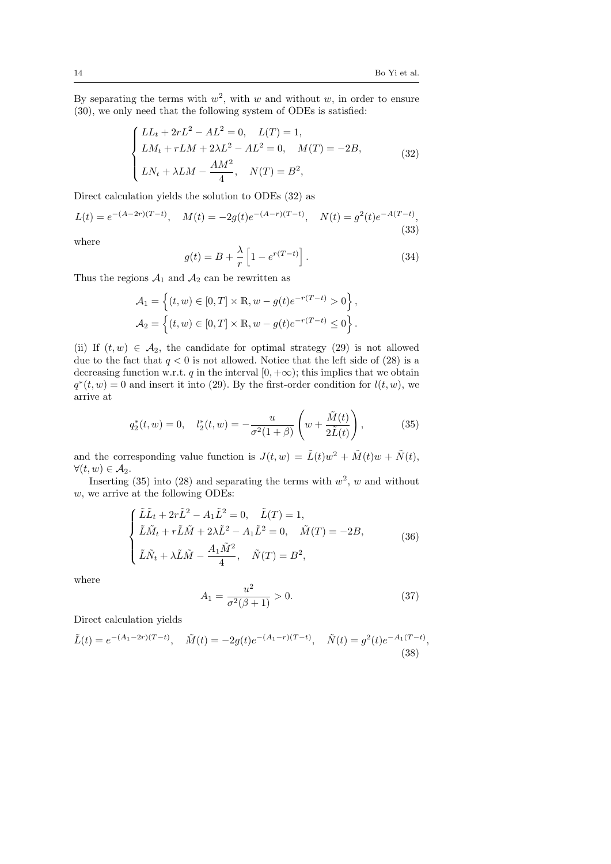By separating the terms with  $w^2$ , with *w* and without *w*, in order to ensure (30), we only need that the following system of ODEs is satisfied:

$$
\begin{cases}\nLL_t + 2rL^2 - AL^2 = 0, & L(T) = 1, \\
LM_t + rLM + 2\lambda L^2 - AL^2 = 0, & M(T) = -2B, \\
LN_t + \lambda LM - \frac{AM^2}{4}, & N(T) = B^2,\n\end{cases}
$$
\n(32)

Direct calculation yields the solution to ODEs (32) as

$$
L(t) = e^{-(A-2r)(T-t)}, \quad M(t) = -2g(t)e^{-(A-r)(T-t)}, \quad N(t) = g^2(t)e^{-A(T-t)},
$$
\n(33)

where

$$
g(t) = B + \frac{\lambda}{r} \left[ 1 - e^{r(T-t)} \right]. \tag{34}
$$

Thus the regions  $A_1$  and  $A_2$  can be rewritten as

$$
\mathcal{A}_1 = \left\{ (t, w) \in [0, T] \times \mathbb{R}, w - g(t)e^{-r(T-t)} > 0 \right\},\
$$

$$
\mathcal{A}_2 = \left\{ (t, w) \in [0, T] \times \mathbb{R}, w - g(t)e^{-r(T-t)} \le 0 \right\}.
$$

(ii) If  $(t, w) \in A_2$ , the candidate for optimal strategy (29) is not allowed due to the fact that  $q < 0$  is not allowed. Notice that the left side of  $(28)$  is a decreasing function w.r.t. *q* in the interval  $[0, +\infty)$ ; this implies that we obtain  $q^*(t, w) = 0$  and insert it into (29). By the first-order condition for  $l(t, w)$ , we arrive at

$$
q_2^*(t, w) = 0, \quad l_2^*(t, w) = -\frac{u}{\sigma^2(1+\beta)} \left(w + \frac{\tilde{M}(t)}{2\tilde{L}(t)}\right),
$$
 (35)

and the corresponding value function is  $J(t, w) = \tilde{L}(t)w^2 + \tilde{M}(t)w + \tilde{N}(t)$ ,  $∀(t, w) ∈ A<sub>2</sub>.$ 

Inserting  $(35)$  into  $(28)$  and separating the terms with  $w^2$ , w and without *w*, we arrive at the following ODEs:

$$
\begin{cases}\n\tilde{L}\tilde{L}_{t} + 2r\tilde{L}^{2} - A_{1}\tilde{L}^{2} = 0, & \tilde{L}(T) = 1, \\
\tilde{L}\tilde{M}_{t} + r\tilde{L}\tilde{M} + 2\lambda\tilde{L}^{2} - A_{1}\tilde{L}^{2} = 0, & \tilde{M}(T) = -2B, \\
\tilde{L}\tilde{N}_{t} + \lambda\tilde{L}\tilde{M} - \frac{A_{1}\tilde{M}^{2}}{4}, & \tilde{N}(T) = B^{2},\n\end{cases}
$$
\n(36)

where

$$
A_1 = \frac{u^2}{\sigma^2(\beta + 1)} > 0.
$$
 (37)

Direct calculation yields

$$
\tilde{L}(t) = e^{-(A_1 - 2r)(T - t)}, \quad \tilde{M}(t) = -2g(t)e^{-(A_1 - r)(T - t)}, \quad \tilde{N}(t) = g^2(t)e^{-A_1(T - t)},
$$
\n(38)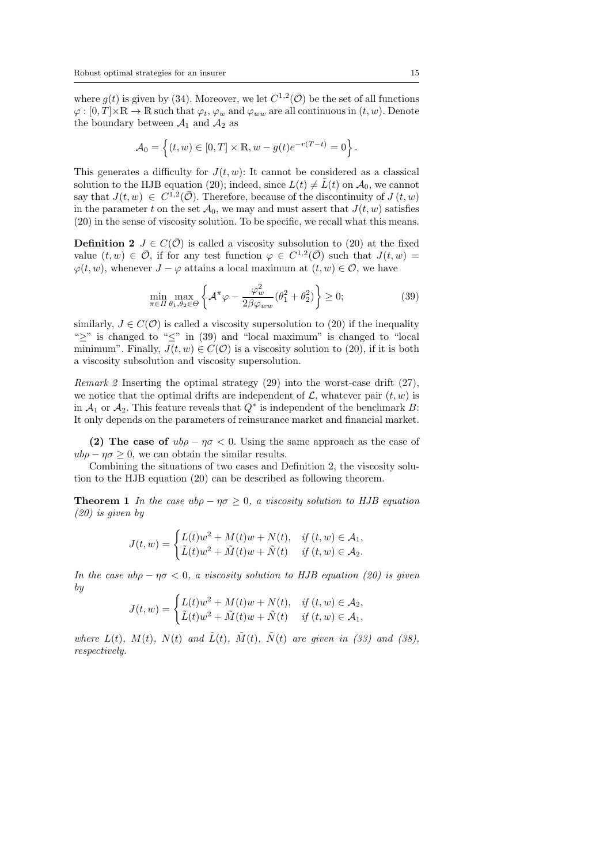where  $g(t)$  is given by (34). Moreover, we let  $C^{1,2}(\overline{O})$  be the set of all functions  $\varphi : [0, T] \times \mathbb{R} \to \mathbb{R}$  such that  $\varphi_t$ ,  $\varphi_w$  and  $\varphi_{ww}$  are all continuous in  $(t, w)$ . Denote the boundary between  $A_1$  and  $A_2$  as

$$
\mathcal{A}_0 = \left\{ (t, w) \in [0, T] \times \mathbb{R}, w - g(t)e^{-r(T-t)} = 0 \right\}.
$$

This generates a difficulty for  $J(t, w)$ : It cannot be considered as a classical solution to the HJB equation (20); indeed, since  $L(t) \neq \tilde{L}(t)$  on  $\mathcal{A}_0$ , we cannot say that  $J(t, w) \in C^{1,2}(\overline{O})$ . Therefore, because of the discontinuity of  $J(t, w)$ in the parameter *t* on the set  $\mathcal{A}_0$ , we may and must assert that  $J(t, w)$  satisfies (20) in the sense of viscosity solution. To be specific, we recall what this means.

**Definition 2**  $J \in C(\overline{O})$  is called a viscosity subsolution to (20) at the fixed value  $(t, w) \in \overline{\mathcal{O}}$ , if for any test function  $\varphi \in C^{1,2}(\overline{\mathcal{O}})$  such that  $J(t, w) =$  $\varphi(t, w)$ , whenever *J* −  $\varphi$  attains a local maximum at  $(t, w) \in \mathcal{O}$ , we have

$$
\min_{\pi \in \Pi} \max_{\theta_1, \theta_2 \in \Theta} \left\{ \mathcal{A}^\pi \varphi - \frac{\varphi_w^2}{2\beta \varphi_{ww}} (\theta_1^2 + \theta_2^2) \right\} \ge 0; \tag{39}
$$

similarly,  $J \in C(\mathcal{O})$  is called a viscosity supersolution to (20) if the inequality "*≥*" is changed to "*≤*" in (39) and "local maximum" is changed to "local minimum". Finally,  $J(t, w) \in C(\mathcal{O})$  is a viscosity solution to (20), if it is both a viscosity subsolution and viscosity supersolution.

*Remark 2* Inserting the optimal strategy (29) into the worst-case drift (27), we notice that the optimal drifts are independent of  $\mathcal{L}$ , whatever pair  $(t, w)$  is in  $A_1$  or  $A_2$ . This feature reveals that  $Q^*$  is independent of the benchmark *B*: It only depends on the parameters of reinsurance market and financial market.

**(2) The case of**  $ub\rho - \eta\sigma < 0$ . Using the same approach as the case of  $ub\rho - \eta \sigma \geq 0$ , we can obtain the similar results.

Combining the situations of two cases and Definition 2, the viscosity solution to the HJB equation (20) can be described as following theorem.

**Theorem 1** In the case  $\mu b \rho - \eta \sigma > 0$ , a viscosity solution to HJB equation *(20) is given by*

$$
J(t, w) = \begin{cases} L(t)w^2 + M(t)w + N(t), & \text{if } (t, w) \in A_1, \\ \tilde{L}(t)w^2 + \tilde{M}(t)w + \tilde{N}(t) & \text{if } (t, w) \in A_2. \end{cases}
$$

*In the case ubρ − ησ <* 0*, a viscosity solution to HJB equation (20) is given by*

$$
J(t, w) = \begin{cases} L(t)w^2 + M(t)w + N(t), & \text{if } (t, w) \in A_2, \\ \tilde{L}(t)w^2 + \tilde{M}(t)w + \tilde{N}(t) & \text{if } (t, w) \in A_1, \end{cases}
$$

*where*  $L(t)$ *,*  $M(t)$ *,*  $N(t)$  *and*  $\tilde{L}(t)$ *,*  $\tilde{M}(t)$ *,*  $\tilde{N}(t)$  *are given in (33) and (38), respectively.*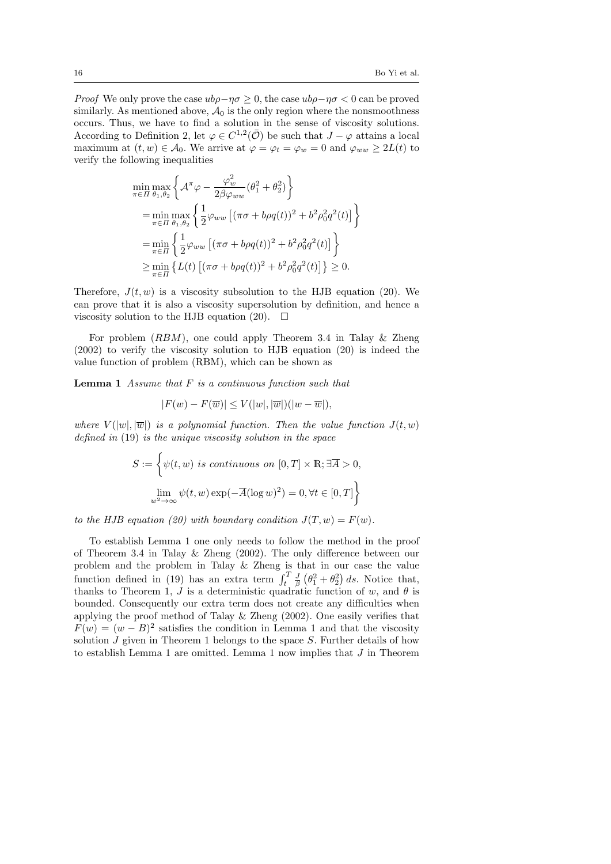*Proof* We only prove the case  $ub\rho$ −*ησ*  $\geq$  0, the case  $ub\rho$ −*ησ*  $\lt$  0 can be proved similarly. As mentioned above,  $A_0$  is the only region where the nonsmoothness occurs. Thus, we have to find a solution in the sense of viscosity solutions. According to Definition 2, let  $\varphi \in C^{1,2}(\overline{\mathcal{O}})$  be such that  $J - \varphi$  attains a local maximum at  $(t, w) \in \mathcal{A}_0$ . We arrive at  $\varphi = \varphi_t = \varphi_w = 0$  and  $\varphi_{ww} \geq 2L(t)$  to verify the following inequalities

$$
\min_{\pi \in \Pi} \max_{\theta_1, \theta_2} \left\{ \mathcal{A}^\pi \varphi - \frac{\varphi_w^2}{2\beta \varphi_{ww}} (\theta_1^2 + \theta_2^2) \right\}
$$
\n
$$
= \min_{\pi \in \Pi} \max_{\theta_1, \theta_2} \left\{ \frac{1}{2} \varphi_{ww} \left[ (\pi \sigma + b \rho q(t))^2 + b^2 \rho_0^2 q^2(t) \right] \right\}
$$
\n
$$
= \min_{\pi \in \Pi} \left\{ \frac{1}{2} \varphi_{ww} \left[ (\pi \sigma + b \rho q(t))^2 + b^2 \rho_0^2 q^2(t) \right] \right\}
$$
\n
$$
\geq \min_{\pi \in \Pi} \left\{ L(t) \left[ (\pi \sigma + b \rho q(t))^2 + b^2 \rho_0^2 q^2(t) \right] \right\} \geq 0.
$$

Therefore,  $J(t, w)$  is a viscosity subsolution to the HJB equation (20). We can prove that it is also a viscosity supersolution by definition, and hence a viscosity solution to the HJB equation (20).  $\Box$ 

For problem (*RBM*), one could apply Theorem 3.4 in Talay & Zheng (2002) to verify the viscosity solution to HJB equation (20) is indeed the value function of problem (RBM), which can be shown as

**Lemma 1** *Assume that F is a continuous function such that*

$$
|F(w) - F(\overline{w})| \le V(|w|, |\overline{w}|)(|w - \overline{w}|),
$$

*where*  $V(|\overline{w}|, |\overline{w}|)$  *is a polynomial function. Then the value function*  $J(t, w)$ *defined in* (19) *is the unique viscosity solution in the space*

$$
S := \left\{ \psi(t, w) \text{ is continuous on } [0, T] \times \mathbb{R}; \exists \overline{A} > 0, \lim_{w^2 \to \infty} \psi(t, w) \exp(-\overline{A}(\log w)^2) = 0, \forall t \in [0, T] \right\}
$$

*to the HJB equation (20) with boundary condition*  $J(T, w) = F(w)$ .

To establish Lemma 1 one only needs to follow the method in the proof of Theorem 3.4 in Talay & Zheng (2002). The only difference between our problem and the problem in Talay & Zheng is that in our case the value function defined in (19) has an extra term  $\int_t^T \frac{J}{\beta} (\theta_1^2 + \theta_2^2) ds$ . Notice that, thanks to Theorem 1, *J* is a deterministic quadratic function of *w*, and  $\theta$  is bounded. Consequently our extra term does not create any difficulties when applying the proof method of Talay & Zheng (2002). One easily verifies that  $F(w) = (w - B)^2$  satisfies the condition in Lemma 1 and that the viscosity solution *J* given in Theorem 1 belongs to the space *S*. Further details of how to establish Lemma 1 are omitted. Lemma 1 now implies that *J* in Theorem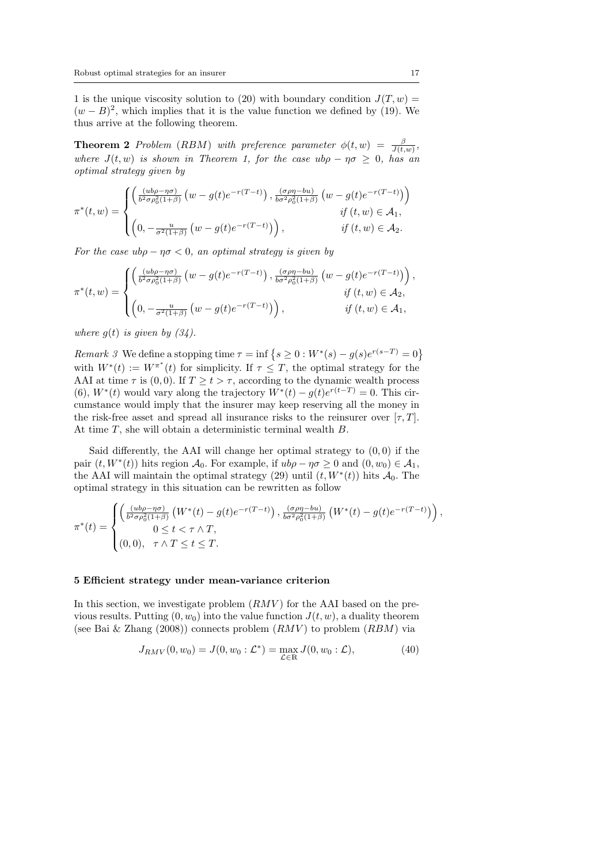1 is the unique viscosity solution to (20) with boundary condition  $J(T, w) =$  $(w - B)^2$ , which implies that it is the value function we defined by (19). We thus arrive at the following theorem.

**Theorem 2** Problem (RBM) with preference parameter  $\phi(t, w) = \frac{\beta}{J(t, w)},$ *where*  $J(t, w)$  *is shown in Theorem 1, for the case*  $ub\rho - \eta\sigma \geq 0$ *, has an optimal strategy given by*

$$
\pi^*(t, w) = \begin{cases}\n\left(\frac{(ub\rho - \eta\sigma)}{b^2 \sigma \rho_0^2 (1+\beta)} \left(w - g(t)e^{-r(T-t)}\right), \frac{(\sigma \rho \eta - bu)}{b \sigma^2 \rho_0^2 (1+\beta)} \left(w - g(t)e^{-r(T-t)}\right)\right) \\
\qquad \qquad if (t, w) \in \mathcal{A}_1, \\
\left(0, -\frac{u}{\sigma^2 (1+\beta)} \left(w - g(t)e^{-r(T-t)}\right)\right), \qquad \qquad if (t, w) \in \mathcal{A}_2.\n\end{cases}
$$

*For the case*  $\mu \rho - \eta \sigma < 0$ *, an optimal strategy is given by* 

$$
\pi^*(t, w) = \begin{cases}\n\left(\frac{(ub\rho - \eta\sigma)}{b^2 \sigma \rho_0^2 (1+\beta)} \left(w - g(t)e^{-r(T-t)}\right), \frac{(\sigma \rho \eta - bu)}{b \sigma^2 \rho_0^2 (1+\beta)} \left(w - g(t)e^{-r(T-t)}\right)\right), & \text{if } (t, w) \in \mathcal{A}_2, \\
\left(0, -\frac{u}{\sigma^2 (1+\beta)} \left(w - g(t)e^{-r(T-t)}\right)\right), & \text{if } (t, w) \in \mathcal{A}_1,\n\end{cases}
$$

*where*  $g(t)$  *is given by*  $(34)$ *.* 

*Remark 3* We define a stopping time  $\tau = \inf \{ s \geq 0 : W^*(s) - g(s)e^{r(s-T)} = 0 \}$ with  $W^*(t) := W^{\pi^*}(t)$  for simplicity. If  $\tau \leq T$ , the optimal strategy for the AAI at time  $\tau$  is (0,0). If  $T \ge t > \tau$ , according to the dynamic wealth process (6),  $W^*(t)$  would vary along the trajectory  $W^*(t) - g(t)e^{r(t-T)} = 0$ . This circumstance would imply that the insurer may keep reserving all the money in the risk-free asset and spread all insurance risks to the reinsurer over  $[\tau, T]$ . At time *T*, she will obtain a deterministic terminal wealth *B*.

Said differently, the AAI will change her optimal strategy to (0*,* 0) if the pair  $(t, W^*(t))$  hits region  $\mathcal{A}_0$ . For example, if  $ub\rho - \eta \sigma \geq 0$  and  $(0, w_0) \in \mathcal{A}_1$ , the AAI will maintain the optimal strategy  $(29)$  until  $(t, W^*(t))$  hits  $\mathcal{A}_0$ . The optimal strategy in this situation can be rewritten as follow

$$
\pi^*(t) = \begin{cases}\n\left(\frac{(ub\rho - \eta\sigma)}{b^2\sigma\rho_0^2(1+\beta)}\left(W^*(t) - g(t)e^{-r(T-t)}\right), \frac{(\sigma\rho\eta - bu)}{b\sigma^2\rho_0^2(1+\beta)}\left(W^*(t) - g(t)e^{-r(T-t)}\right)\right), \\
0 \le t < \tau \wedge T, \\
(0,0), \quad \tau \wedge T \le t \le T.\n\end{cases}
$$

#### **5 Efficient strategy under mean-variance criterion**

In this section, we investigate problem  $(RMV)$  for the AAI based on the previous results. Putting  $(0, w_0)$  into the value function  $J(t, w)$ , a duality theorem (see Bai & Zhang (2008)) connects problem (*RMV* ) to problem (*RBM*) via

$$
J_{RMV}(0, w_0) = J(0, w_0 : \mathcal{L}^*) = \max_{\mathcal{L} \in \mathbb{R}} J(0, w_0 : \mathcal{L}), \tag{40}
$$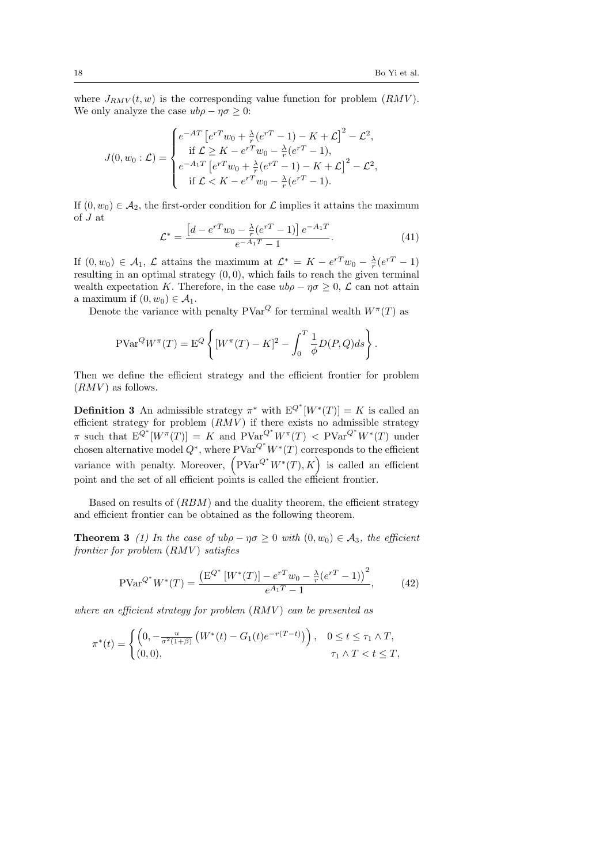where  $J_{RMV}(t, w)$  is the corresponding value function for problem  $(RMV)$ . We only analyze the case  $ub\rho - \eta\sigma \geq 0$ :

$$
J(0, w_0 : \mathcal{L}) = \begin{cases} e^{-AT} \left[ e^{rT} w_0 + \frac{\lambda}{r} (e^{rT} - 1) - K + \mathcal{L} \right]^2 - \mathcal{L}^2, \\ \text{if } \mathcal{L} \geq K - e^{rT} w_0 - \frac{\lambda}{r} (e^{rT} - 1), \\ e^{-A_1 T} \left[ e^{rT} w_0 + \frac{\lambda}{r} (e^{rT} - 1) - K + \mathcal{L} \right]^2 - \mathcal{L}^2, \\ \text{if } \mathcal{L} < K - e^{rT} w_0 - \frac{\lambda}{r} (e^{rT} - 1). \end{cases}
$$

If  $(0, w_0) \in \mathcal{A}_2$ , the first-order condition for  $\mathcal L$  implies it attains the maximum of *J* at

$$
\mathcal{L}^* = \frac{\left[d - e^{rT}w_0 - \frac{\lambda}{r}(e^{rT} - 1)\right]e^{-A_1T}}{e^{-A_1T} - 1}.
$$
\n(41)

If  $(0, w_0) \in A_1$ ,  $\mathcal{L}$  attains the maximum at  $\mathcal{L}^* = K - e^{rT}w_0 - \frac{\lambda}{r}(e^{rT} - 1)$ resulting in an optimal strategy (0*,* 0), which fails to reach the given terminal wealth expectation *K*. Therefore, in the case  $ub\rho - \eta \sigma \geq 0$ ,  $\mathcal{L}$  can not attain a maximum if  $(0, w_0) \in \mathcal{A}_1$ .

Denote the variance with penalty  $PVar^Q$  for terminal wealth  $W^{\pi}(T)$  as

$$
\text{PVar}^Q W^{\pi}(T) = \mathcal{E}^Q \left\{ [W^{\pi}(T) - K]^2 - \int_0^T \frac{1}{\phi} D(P, Q) ds \right\}.
$$

Then we define the efficient strategy and the efficient frontier for problem  $(RMV)$  as follows.

**Definition 3** An admissible strategy  $\pi^*$  with  $E^{Q^*}[W^*(T)] = K$  is called an efficient strategy for problem  $(RM\tilde{V})$  if there exists no admissible strategy  $\pi$  such that  $E^{Q^*}[W^{\pi}(T)] = K$  and  $PVar^{Q^*}W^{\pi}(T) < PV^{\pi}W^*(T)$  under chosen alternative model  $Q^*$ , where  $PVar^{Q^*}W^*(T)$  corresponds to the efficient variance with penalty. Moreover,  $(PVar^{Q^*}W^*(T), K)$  is called an efficient point and the set of all efficient points is called the efficient frontier.

Based on results of (*RBM*) and the duality theorem, the efficient strategy and efficient frontier can be obtained as the following theorem.

**Theorem 3** (1) In the case of  $ub\rho - \eta\sigma \geq 0$  with  $(0, w_0) \in A_3$ , the efficient *frontier for problem* (*RMV* ) *satisfies*

$$
PVar^{Q^*}W^*(T) = \frac{\left(E^{Q^*}[W^*(T)] - e^{rT}w_0 - \frac{\lambda}{r}(e^{rT} - 1)\right)^2}{e^{A_1T} - 1},\tag{42}
$$

*where an efficient strategy for problem* (*RMV* ) *can be presented as*

$$
\pi^*(t) = \begin{cases} \left(0, -\frac{u}{\sigma^2(1+\beta)} \left(W^*(t) - G_1(t)e^{-r(T-t)}\right)\right), & 0 \le t \le \tau_1 \wedge T, \\ (0,0), & \tau_1 \wedge T < t \le T, \end{cases}
$$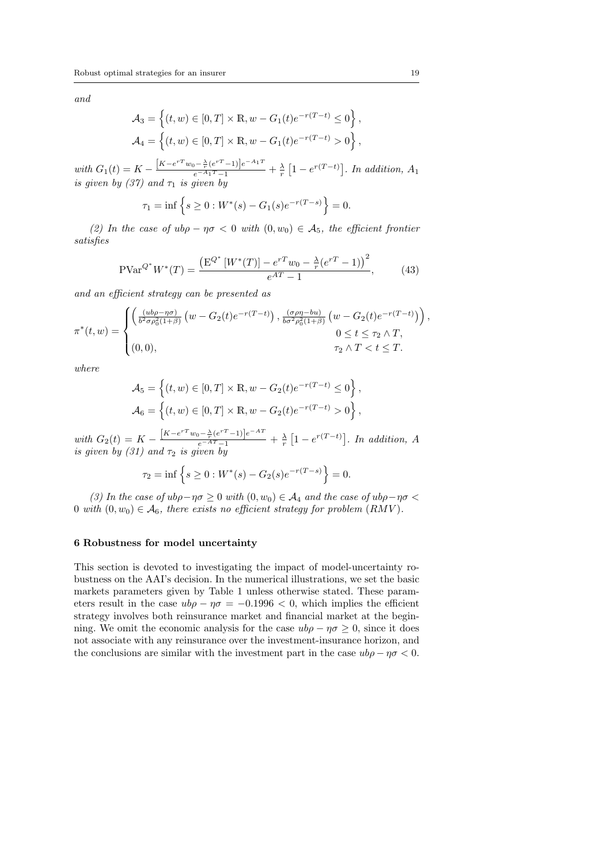*and*

$$
A_3 = \left\{ (t, w) \in [0, T] \times \mathbb{R}, w - G_1(t)e^{-r(T-t)} \le 0 \right\},
$$
  

$$
A_4 = \left\{ (t, w) \in [0, T] \times \mathbb{R}, w - G_1(t)e^{-r(T-t)} > 0 \right\},
$$

with  $G_1(t) = K - \frac{[K - e^{rT}w_0 - \frac{\lambda}{r}(e^{rT} - 1)]e^{-A_1T}}{e^{-A_1T} - 1} + \frac{\lambda}{r} \left[1 - e^{r(T-t)}\right]$ . In addition,  $A_1$ *is given by (37) and*  $\tau_1$  *is given by* 

$$
\tau_1 = \inf \left\{ s \ge 0 : W^*(s) - G_1(s)e^{-r(T-s)} \right\} = 0.
$$

*(2) In the case of ubρ − ησ <* 0 *with* (0*, w*0) *∈ A*5*, the efficient frontier satisfies*

$$
PVar^{Q^*}W^*(T) = \frac{\left(E^{Q^*}[W^*(T)] - e^{rT}w_0 - \frac{\lambda}{r}(e^{rT} - 1)\right)^2}{e^{AT} - 1},\tag{43}
$$

*and an efficient strategy can be presented as*

$$
\pi^*(t, w) = \begin{cases}\n\left(\frac{(ub\rho - \eta\sigma)}{b^2 \sigma \rho_0^2 (1+\beta)} \left(w - G_2(t)e^{-r(T-t)}\right), \frac{(\sigma \rho \eta - bu)}{b \sigma^2 \rho_0^2 (1+\beta)} \left(w - G_2(t)e^{-r(T-t)}\right)\right), & 0 \le t \le \tau_2 \wedge T, \\
(0, 0), & \tau_2 \wedge T < t \le T.\n\end{cases}
$$

*where*

$$
\mathcal{A}_5 = \left\{ (t, w) \in [0, T] \times \mathbb{R}, w - G_2(t)e^{-r(T-t)} \le 0 \right\},\
$$
  

$$
\mathcal{A}_6 = \left\{ (t, w) \in [0, T] \times \mathbb{R}, w - G_2(t)e^{-r(T-t)} > 0 \right\},\
$$

with  $G_2(t) = K - \frac{[K - e^{rT}w_0 - \frac{\lambda}{r}(e^{rT} - 1)]e^{-AT}}{e^{-AT} - 1} + \frac{\lambda}{r} [1 - e^{r(T - t)}].$  In addition, A *is given by*  $(31)$  *and*  $\tau_2$  *is given by* 

$$
\tau_2 = \inf \left\{ s \ge 0 : W^*(s) - G_2(s)e^{-r(T-s)} \right\} = 0.
$$

*(3) In the case of ubρ−ησ ≥* 0 *with* (0*, w*0) *∈ A*<sup>4</sup> *and the case of ubρ−ησ <* 0 *with*  $(0, w_0) \in \mathcal{A}_6$ , there exists no efficient strategy for problem  $(RMV)$ .

## **6 Robustness for model uncertainty**

This section is devoted to investigating the impact of model-uncertainty robustness on the AAI's decision. In the numerical illustrations, we set the basic markets parameters given by Table 1 unless otherwise stated. These parameters result in the case  $ub\rho - \eta \sigma = -0.1996 < 0$ , which implies the efficient strategy involves both reinsurance market and financial market at the beginning. We omit the economic analysis for the case  $ub\rho - \eta \sigma \geq 0$ , since it does not associate with any reinsurance over the investment-insurance horizon, and the conclusions are similar with the investment part in the case  $ub\rho - \eta \sigma < 0$ .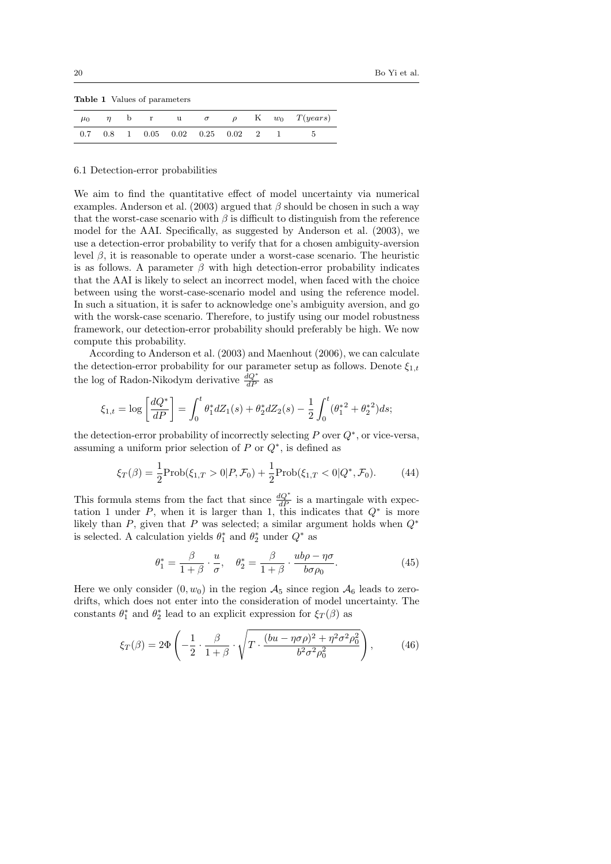**Table 1** Values of parameters

| $\mu_0$ | $\eta$ | b |  |                                               |  | r u $\sigma$ $\rho$ K $w_0$ $T(years)$ |
|---------|--------|---|--|-----------------------------------------------|--|----------------------------------------|
|         |        |   |  | $0.7$ $0.8$ 1 $0.05$ $0.02$ $0.25$ $0.02$ 2 1 |  |                                        |

#### 6.1 Detection-error probabilities

We aim to find the quantitative effect of model uncertainty via numerical examples. Anderson et al. (2003) argued that  $\beta$  should be chosen in such a way that the worst-case scenario with  $\beta$  is difficult to distinguish from the reference model for the AAI. Specifically, as suggested by Anderson et al. (2003), we use a detection-error probability to verify that for a chosen ambiguity-aversion level  $β$ , it is reasonable to operate under a worst-case scenario. The heuristic is as follows. A parameter  $\beta$  with high detection-error probability indicates that the AAI is likely to select an incorrect model, when faced with the choice between using the worst-case-scenario model and using the reference model. In such a situation, it is safer to acknowledge one's ambiguity aversion, and go with the worsk-case scenario. Therefore, to justify using our model robustness framework, our detection-error probability should preferably be high. We now compute this probability.

According to Anderson et al. (2003) and Maenhout (2006), we can calculate the detection-error probability for our parameter setup as follows. Denote  $\xi_{1,t}$ the log of Radon-Nikodym derivative  $\frac{dQ^*}{dP}$  as

$$
\xi_{1,t} = \log \left[ \frac{dQ^*}{dP} \right] = \int_0^t \theta_1^* dZ_1(s) + \theta_2^* dZ_2(s) - \frac{1}{2} \int_0^t (\theta_1^{*2} + \theta_2^{*2}) ds;
$$

the detection-error probability of incorrectly selecting *P* over *Q<sup>∗</sup>* , or vice-versa, assuming a uniform prior selection of *P* or *Q<sup>∗</sup>* , is defined as

$$
\xi_T(\beta) = \frac{1}{2} \text{Prob}(\xi_{1,T} > 0 | P, \mathcal{F}_0) + \frac{1}{2} \text{Prob}(\xi_{1,T} < 0 | Q^*, \mathcal{F}_0). \tag{44}
$$

This formula stems from the fact that since  $\frac{dQ^*}{dP}$  is a martingale with expectation 1 under *P*, when it is larger than 1, this indicates that *Q<sup>∗</sup>* is more likely than *P*, given that *P* was selected; a similar argument holds when *Q<sup>∗</sup>* is selected. A calculation yields  $\theta_1^*$  and  $\theta_2^*$  under  $Q^*$  as

$$
\theta_1^* = \frac{\beta}{1+\beta} \cdot \frac{u}{\sigma}, \quad \theta_2^* = \frac{\beta}{1+\beta} \cdot \frac{ub\rho - \eta\sigma}{b\sigma\rho_0}.
$$
 (45)

Here we only consider  $(0, w_0)$  in the region  $\mathcal{A}_5$  since region  $\mathcal{A}_6$  leads to zerodrifts, which does not enter into the consideration of model uncertainty. The constants  $\theta_1^*$  and  $\theta_2^*$  lead to an explicit expression for  $\xi_T(\beta)$  as

$$
\xi_T(\beta) = 2\Phi\left(-\frac{1}{2}\cdot\frac{\beta}{1+\beta}\cdot\sqrt{T\cdot\frac{(bu-\eta\sigma\rho)^2 + \eta^2\sigma^2\rho_0^2}{b^2\sigma^2\rho_0^2}}\right),\tag{46}
$$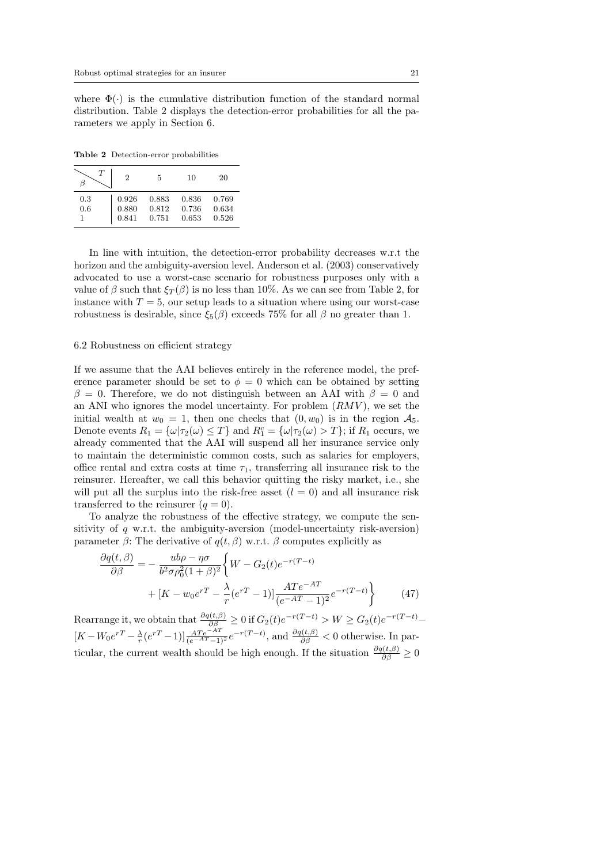where  $\Phi(\cdot)$  is the cumulative distribution function of the standard normal distribution. Table 2 displays the detection-error probabilities for all the parameters we apply in Section 6.

**Table 2** Detection-error probabilities

| $\tau$ | $\overline{2}$ | 5     | 10    | 20    |
|--------|----------------|-------|-------|-------|
| 0.3    | 0.926          | 0.883 | 0.836 | 0.769 |
| 0.6    | 0.880          | 0.812 | 0.736 | 0.634 |
|        | 0.841          | 0.751 | 0.653 | 0.526 |

In line with intuition, the detection-error probability decreases w.r.t the horizon and the ambiguity-aversion level. Anderson et al. (2003) conservatively advocated to use a worst-case scenario for robustness purposes only with a value of  $\beta$  such that  $\xi_T(\beta)$  is no less than 10%. As we can see from Table 2, for instance with  $T = 5$ , our setup leads to a situation where using our worst-case robustness is desirable, since  $\xi_5(\beta)$  exceeds 75% for all *β* no greater than 1.

# 6.2 Robustness on efficient strategy

If we assume that the AAI believes entirely in the reference model, the preference parameter should be set to  $\phi = 0$  which can be obtained by setting  $\beta = 0$ . Therefore, we do not distinguish between an AAI with  $\beta = 0$  and an ANI who ignores the model uncertainty. For problem (*RMV* ), we set the initial wealth at  $w_0 = 1$ , then one checks that  $(0, w_0)$  is in the region  $\mathcal{A}_5$ . Denote events  $R_1 = {\omega | \tau_2(\omega) \le T}$  and  $R_1^c = {\omega | \tau_2(\omega) > T}$ ; if  $R_1$  occurs, we already commented that the AAI will suspend all her insurance service only to maintain the deterministic common costs, such as salaries for employers, office rental and extra costs at time  $\tau_1$ , transferring all insurance risk to the reinsurer. Hereafter, we call this behavior quitting the risky market, i.e., she will put all the surplus into the risk-free asset  $(l = 0)$  and all insurance risk transferred to the reinsurer  $(q = 0)$ .

To analyze the robustness of the effective strategy, we compute the sensitivity of *q* w.r.t. the ambiguity-aversion (model-uncertainty risk-aversion) parameter  $\beta$ : The derivative of  $q(t, \beta)$  w.r.t.  $\beta$  computes explicitly as

$$
\frac{\partial q(t,\beta)}{\partial \beta} = -\frac{ub\rho - \eta\sigma}{b^2 \sigma \rho_0^2 (1+\beta)^2} \left\{ W - G_2(t)e^{-r(T-t)} + [K - w_0 e^{rT} - \frac{\lambda}{r} (e^{rT} - 1)] \frac{ATe^{-AT}}{(e^{-AT} - 1)^2} e^{-r(T-t)} \right\}
$$
(47)

Rearrange it, we obtain that  $\frac{\partial q(t,\beta)}{\partial \beta} \geq 0$  if  $G_2(t)e^{-r(T-t)} > W \geq G_2(t)e^{-r(T-t)}$  $[K - W_0 e^{rT} - \frac{\lambda}{r} (e^{rT} - 1)] \frac{ATe^{-AT}}{(e^{-AT} - 1)^2} e^{-r(T-t)}$ , and  $\frac{\partial q(t,\beta)}{\partial \beta} < 0$  otherwise. In particular, the current wealth should be high enough. If the situation  $\frac{\partial q(t,\beta)}{\partial \beta} \geq 0$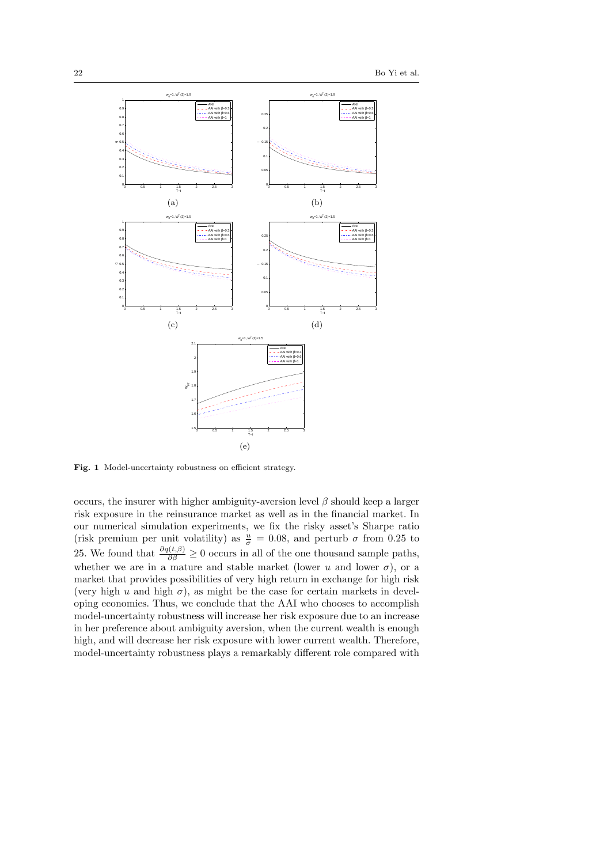

Fig. 1 Model-uncertainty robustness on efficient strategy.

occurs, the insurer with higher ambiguity-aversion level *β* should keep a larger risk exposure in the reinsurance market as well as in the financial market. In our numerical simulation experiments, we fix the risky asset's Sharpe ratio (risk premium per unit volatility) as  $\frac{u}{\sigma} = 0.08$ , and perturb  $\sigma$  from 0.25 to 25. We found that  $\frac{\partial q(t,\beta)}{\partial \beta} \geq 0$  occurs in all of the one thousand sample paths, whether we are in a mature and stable market (lower  $u$  and lower  $\sigma$ ), or a market that provides possibilities of very high return in exchange for high risk (very high *u* and high  $\sigma$ ), as might be the case for certain markets in developing economies. Thus, we conclude that the AAI who chooses to accomplish model-uncertainty robustness will increase her risk exposure due to an increase in her preference about ambiguity aversion, when the current wealth is enough high, and will decrease her risk exposure with lower current wealth. Therefore, model-uncertainty robustness plays a remarkably different role compared with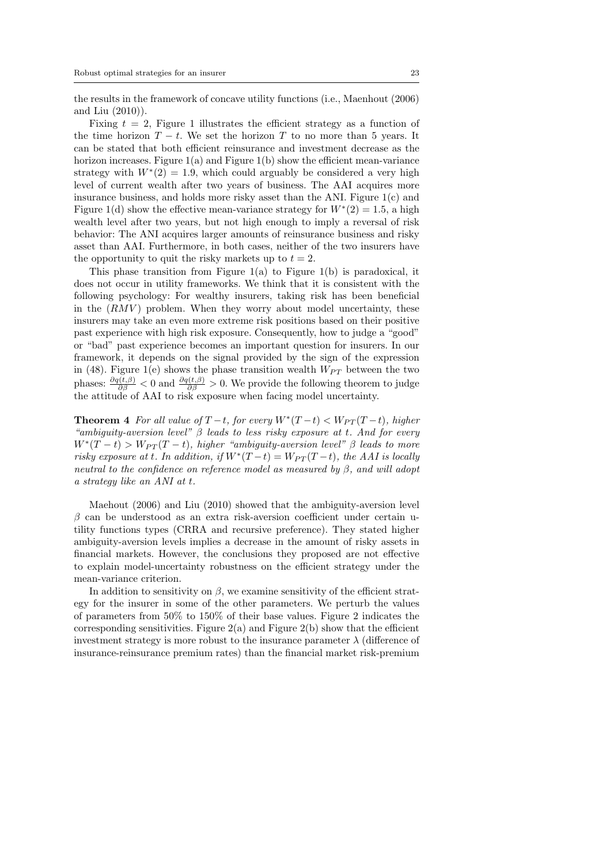the results in the framework of concave utility functions (i.e., Maenhout (2006) and Liu (2010)).

Fixing  $t = 2$ , Figure 1 illustrates the efficient strategy as a function of the time horizon  $T - t$ . We set the horizon  $T$  to no more than 5 years. It can be stated that both efficient reinsurance and investment decrease as the horizon increases. Figure  $1(a)$  and Figure  $1(b)$  show the efficient mean-variance strategy with  $W^*(2) = 1.9$ , which could arguably be considered a very high level of current wealth after two years of business. The AAI acquires more insurance business, and holds more risky asset than the ANI. Figure  $1(c)$  and Figure 1(d) show the effective mean-variance strategy for  $W^*(2) = 1.5$ , a high wealth level after two years, but not high enough to imply a reversal of risk behavior: The ANI acquires larger amounts of reinsurance business and risky asset than AAI. Furthermore, in both cases, neither of the two insurers have the opportunity to quit the risky markets up to  $t = 2$ .

This phase transition from Figure  $1(a)$  to Figure  $1(b)$  is paradoxical, it does not occur in utility frameworks. We think that it is consistent with the following psychology: For wealthy insurers, taking risk has been beneficial in the  $(RMV)$  problem. When they worry about model uncertainty, these insurers may take an even more extreme risk positions based on their positive past experience with high risk exposure. Consequently, how to judge a "good" or "bad" past experience becomes an important question for insurers. In our framework, it depends on the signal provided by the sign of the expression in (48). Figure 1(e) shows the phase transition wealth  $W_{PT}$  between the two phases:  $\frac{\partial q(t,\beta)}{\partial \beta}$  < 0 and  $\frac{\partial q(t,\beta)}{\partial \beta}$  > 0. We provide the following theorem to judge the attitude of AAI to risk exposure when facing model uncertainty.

**Theorem 4** *For all value of*  $T-t$ *, for every*  $W^*(T-t) < W_{PT}(T-t)$ *, higher "ambiguity-aversion level" β leads to less risky exposure at t. And for every*  $W^*(T-t) > W_{PT}(T-t)$ , higher "ambiguity-aversion level"  $\beta$  leads to more *risky exposure at t.* In addition, if  $W^*(T-t) = W_{PT}(T-t)$ , the AAI is locally *neutral to the confidence on reference model as measured by β, and will adopt a strategy like an ANI at t.*

Maehout (2006) and Liu (2010) showed that the ambiguity-aversion level *β* can be understood as an extra risk-aversion coefficient under certain utility functions types (CRRA and recursive preference). They stated higher ambiguity-aversion levels implies a decrease in the amount of risky assets in financial markets. However, the conclusions they proposed are not effective to explain model-uncertainty robustness on the efficient strategy under the mean-variance criterion.

In addition to sensitivity on  $\beta$ , we examine sensitivity of the efficient strategy for the insurer in some of the other parameters. We perturb the values of parameters from 50% to 150% of their base values. Figure 2 indicates the corresponding sensitivities. Figure  $2(a)$  and Figure  $2(b)$  show that the efficient investment strategy is more robust to the insurance parameter  $\lambda$  (difference of insurance-reinsurance premium rates) than the financial market risk-premium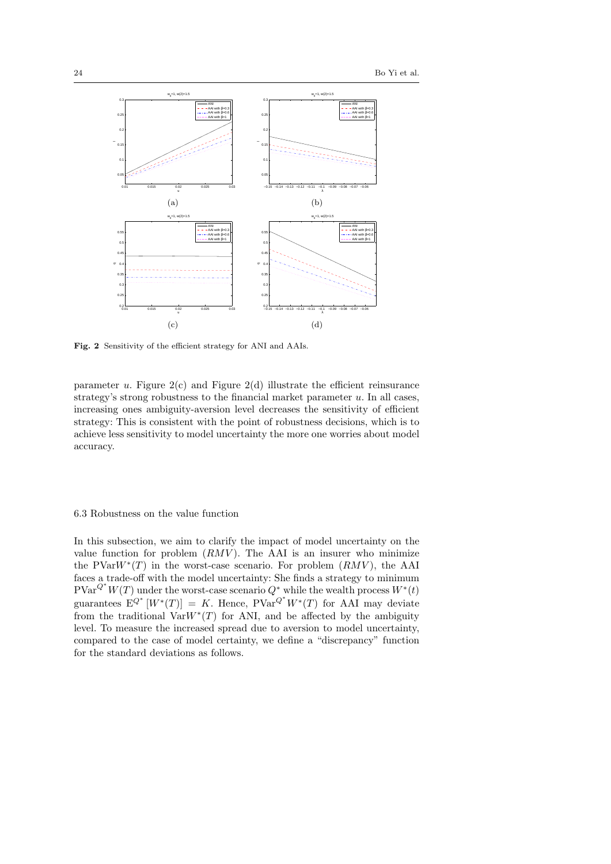

**Fig. 2** Sensitivity of the efficient strategy for ANI and AAIs.

parameter  $u$ . Figure  $2(c)$  and Figure  $2(d)$  illustrate the efficient reinsurance strategy's strong robustness to the financial market parameter *u*. In all cases, increasing ones ambiguity-aversion level decreases the sensitivity of efficient strategy: This is consistent with the point of robustness decisions, which is to achieve less sensitivity to model uncertainty the more one worries about model accuracy.

# 6.3 Robustness on the value function

In this subsection, we aim to clarify the impact of model uncertainty on the value function for problem  $(RMV)$ . The AAI is an insurer who minimize the PVar*W<sup>∗</sup>* (*T*) in the worst-case scenario. For problem (*RMV* ), the AAI faces a trade-off with the model uncertainty: She finds a strategy to minimum  $PVar^{Q^*}W(T)$  under the worst-case scenario  $Q^*$  while the wealth process  $W^*(t)$ guarantees  $E^{Q^*}[W^*(T)] = K$ . Hence,  $PVar^{Q^*}W^*(T)$  for AAI may deviate from the traditional  $VarW^*(T)$  for ANI, and be affected by the ambiguity level. To measure the increased spread due to aversion to model uncertainty, compared to the case of model certainty, we define a "discrepancy" function for the standard deviations as follows.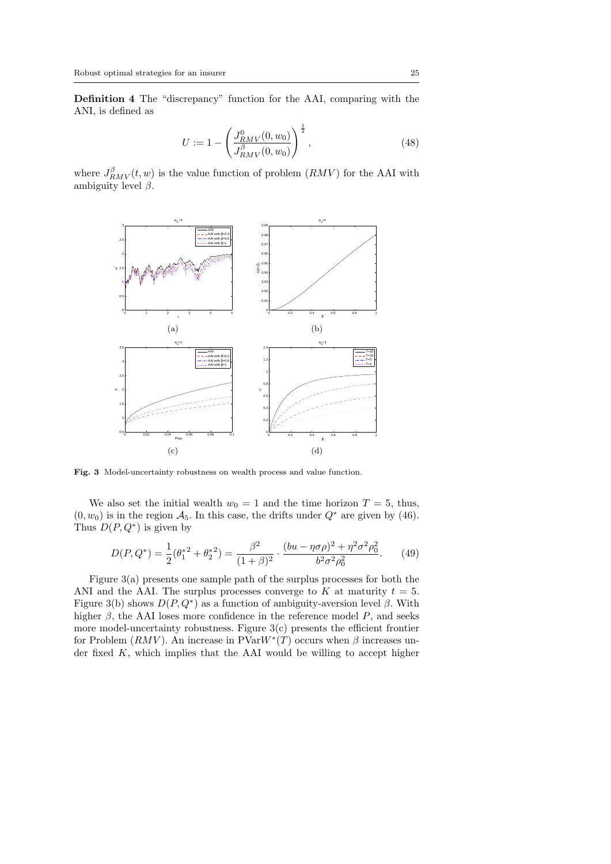**Definition 4** The "discrepancy" function for the AAI, comparing with the ANI, is defined as

$$
U := 1 - \left(\frac{J_{RMV}^0(0, w_0)}{J_{RMV}^\beta(0, w_0)}\right)^{\frac{1}{2}},
$$
\n(48)

where  $J_{RMV}^{\beta}(t, w)$  is the value function of problem  $(RMV)$  for the AAI with ambiguity level  $\beta$ .



**Fig. 3** Model-uncertainty robustness on wealth process and value function.

We also set the initial wealth  $w_0 = 1$  and the time horizon  $T = 5$ , thus,  $(0, w_0)$  is in the region  $\mathcal{A}_5$ . In this case, the drifts under  $Q^*$  are given by (46). Thus  $D(P,Q^*)$  is given by

$$
D(P, Q^*) = \frac{1}{2}(\theta_1^{*2} + \theta_2^{*2}) = \frac{\beta^2}{(1+\beta)^2} \cdot \frac{(bu - \eta\sigma\rho)^2 + \eta^2\sigma^2\rho_0^2}{b^2\sigma^2\rho_0^2}.
$$
 (49)

Figure 3(a) presents one sample path of the surplus processes for both the ANI and the AAI. The surplus processes converge to  $K$  at maturity  $t = 5$ . Figure 3(b) shows  $D(P,Q^*)$  as a function of ambiguity-aversion level  $\beta$ . With higher  $\beta$ , the AAI loses more confidence in the reference model  $P$ , and seeks more model-uncertainty robustness. Figure  $3(c)$  presents the efficient frontier for Problem  $(RMV)$ . An increase in  $PVarW^*(T)$  occurs when  $\beta$  increases under fixed *K*, which implies that the AAI would be willing to accept higher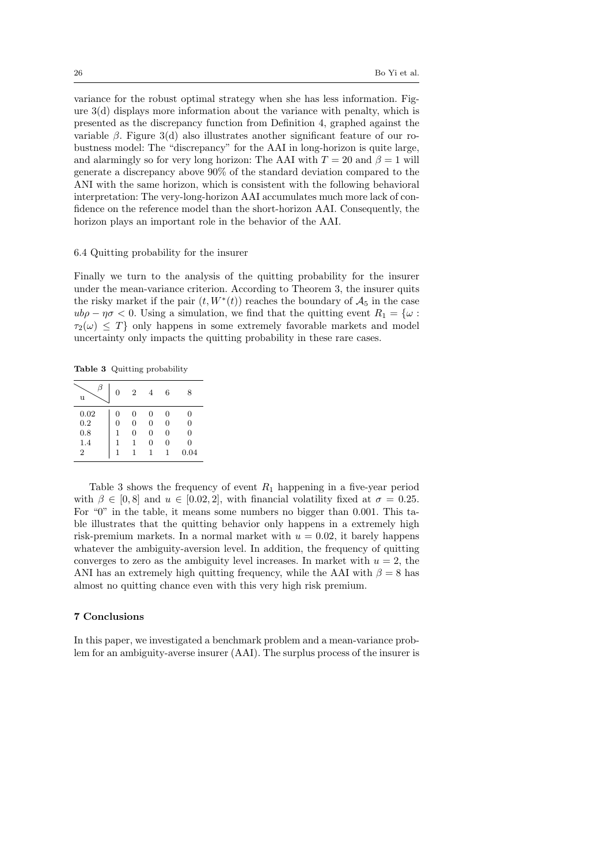variance for the robust optimal strategy when she has less information. Figure 3(d) displays more information about the variance with penalty, which is presented as the discrepancy function from Definition 4, graphed against the variable  $\beta$ . Figure 3(d) also illustrates another significant feature of our robustness model: The "discrepancy" for the AAI in long-horizon is quite large, and alarmingly so for very long horizon: The AAI with  $T = 20$  and  $\beta = 1$  will generate a discrepancy above 90% of the standard deviation compared to the ANI with the same horizon, which is consistent with the following behavioral interpretation: The very-long-horizon AAI accumulates much more lack of confidence on the reference model than the short-horizon AAI. Consequently, the horizon plays an important role in the behavior of the AAI.

## 6.4 Quitting probability for the insurer

Finally we turn to the analysis of the quitting probability for the insurer under the mean-variance criterion. According to Theorem 3, the insurer quits the risky market if the pair  $(t, W^*(t))$  reaches the boundary of  $\mathcal{A}_5$  in the case  $u b \rho - \eta \sigma < 0$ . Using a simulation, we find that the quitting event  $R_1 = {\omega : \mathbb{R}^n}$  $\tau_2(\omega) \leq T$ } only happens in some extremely favorable markets and model uncertainty only impacts the quitting probability in these rare cases.

**Table 3** Quitting probability

| u              | 0 | $\overline{2}$ |   | 6 | 8        |
|----------------|---|----------------|---|---|----------|
| 0.02           | 0 | 0              | 0 | 0 | 0        |
| 0.2            | 0 | 0              | 0 | 0 | $\Omega$ |
| 0.8            |   | 0              | 0 | 0 | $\Omega$ |
| 1.4            |   |                | 0 | 0 | 0        |
| $\overline{2}$ |   |                | 1 |   | 0.04     |

Table 3 shows the frequency of event  $R_1$  happening in a five-year period with  $\beta \in [0,8]$  and  $u \in [0.02, 2]$ , with financial volatility fixed at  $\sigma = 0.25$ . For "0" in the table, it means some numbers no bigger than 0*.*001. This table illustrates that the quitting behavior only happens in a extremely high risk-premium markets. In a normal market with  $u = 0.02$ , it barely happens whatever the ambiguity-aversion level. In addition, the frequency of quitting converges to zero as the ambiguity level increases. In market with  $u = 2$ , the ANI has an extremely high quitting frequency, while the AAI with  $\beta = 8$  has almost no quitting chance even with this very high risk premium.

## **7 Conclusions**

In this paper, we investigated a benchmark problem and a mean-variance problem for an ambiguity-averse insurer (AAI). The surplus process of the insurer is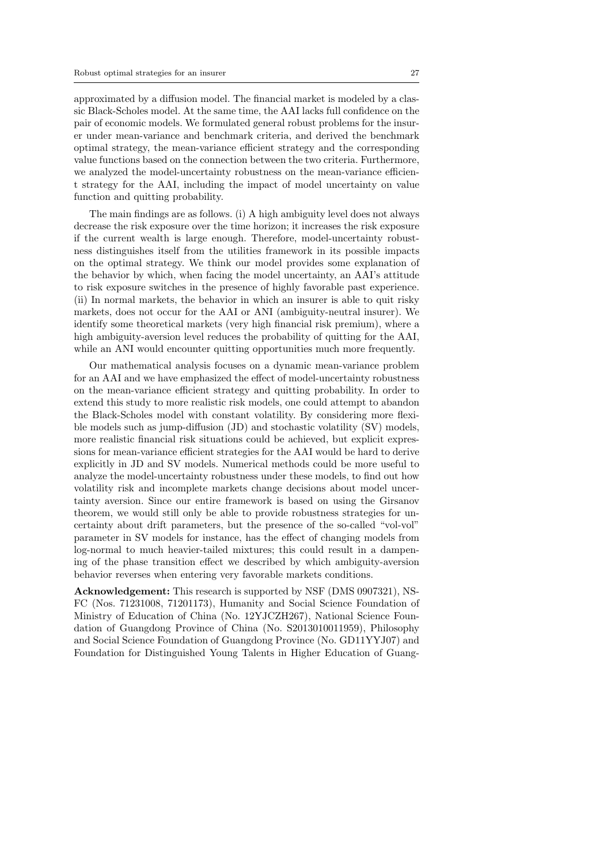approximated by a diffusion model. The financial market is modeled by a classic Black-Scholes model. At the same time, the AAI lacks full confidence on the pair of economic models. We formulated general robust problems for the insurer under mean-variance and benchmark criteria, and derived the benchmark optimal strategy, the mean-variance efficient strategy and the corresponding value functions based on the connection between the two criteria. Furthermore, we analyzed the model-uncertainty robustness on the mean-variance efficient strategy for the AAI, including the impact of model uncertainty on value function and quitting probability.

The main findings are as follows. (i) A high ambiguity level does not always decrease the risk exposure over the time horizon; it increases the risk exposure if the current wealth is large enough. Therefore, model-uncertainty robustness distinguishes itself from the utilities framework in its possible impacts on the optimal strategy. We think our model provides some explanation of the behavior by which, when facing the model uncertainty, an AAI's attitude to risk exposure switches in the presence of highly favorable past experience. (ii) In normal markets, the behavior in which an insurer is able to quit risky markets, does not occur for the AAI or ANI (ambiguity-neutral insurer). We identify some theoretical markets (very high financial risk premium), where a high ambiguity-aversion level reduces the probability of quitting for the AAI, while an ANI would encounter quitting opportunities much more frequently.

Our mathematical analysis focuses on a dynamic mean-variance problem for an AAI and we have emphasized the effect of model-uncertainty robustness on the mean-variance efficient strategy and quitting probability. In order to extend this study to more realistic risk models, one could attempt to abandon the Black-Scholes model with constant volatility. By considering more flexible models such as jump-diffusion (JD) and stochastic volatility (SV) models, more realistic financial risk situations could be achieved, but explicit expressions for mean-variance efficient strategies for the AAI would be hard to derive explicitly in JD and SV models. Numerical methods could be more useful to analyze the model-uncertainty robustness under these models, to find out how volatility risk and incomplete markets change decisions about model uncertainty aversion. Since our entire framework is based on using the Girsanov theorem, we would still only be able to provide robustness strategies for uncertainty about drift parameters, but the presence of the so-called "vol-vol" parameter in SV models for instance, has the effect of changing models from log-normal to much heavier-tailed mixtures; this could result in a dampening of the phase transition effect we described by which ambiguity-aversion behavior reverses when entering very favorable markets conditions.

**Acknowledgement:** This research is supported by NSF (DMS 0907321), NS-FC (Nos. 71231008, 71201173), Humanity and Social Science Foundation of Ministry of Education of China (No. 12YJCZH267), National Science Foundation of Guangdong Province of China (No. S2013010011959), Philosophy and Social Science Foundation of Guangdong Province (No. GD11YYJ07) and Foundation for Distinguished Young Talents in Higher Education of Guang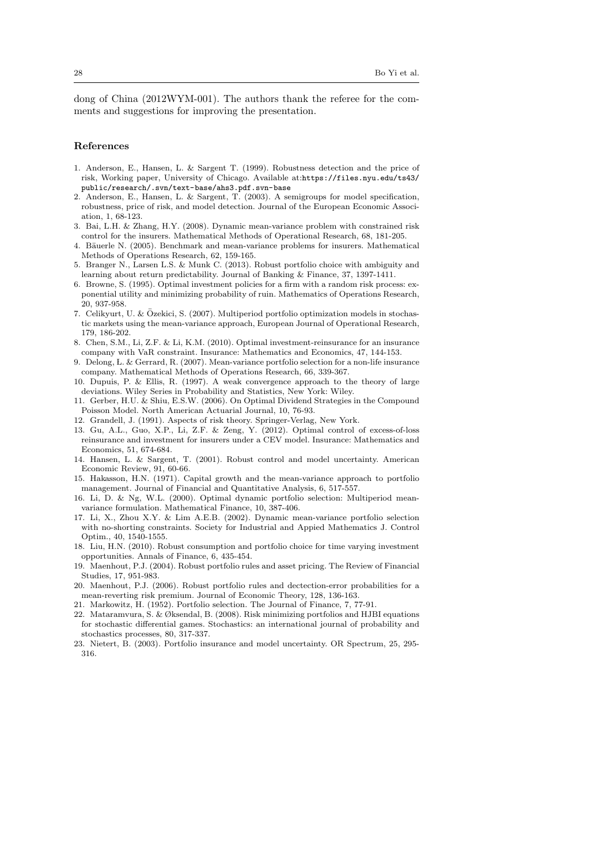dong of China (2012WYM-001). The authors thank the referee for the comments and suggestions for improving the presentation.

## **References**

- 1. Anderson, E., Hansen, L. & Sargent T. (1999). Robustness detection and the price of risk, Working paper, University of Chicago. Available at:https://files.nyu.edu/ts43/ public/research/.svn/text-base/ahs3.pdf.svn-base
- 2. Anderson, E., Hansen, L. & Sargent, T. (2003). A semigroups for model specification, robustness, price of risk, and model detection. Journal of the European Economic Association, 1, 68-123.
- 3. Bai, L.H. & Zhang, H.Y. (2008). Dynamic mean-variance problem with constrained risk control for the insurers. Mathematical Methods of Operational Research, 68, 181-205.
- 4. Bäuerle N. (2005). Benchmark and mean-variance problems for insurers. Mathematical Methods of Operations Research, 62, 159-165.
- 5. Branger N., Larsen L.S. & Munk C. (2013). Robust portfolio choice with ambiguity and learning about return predictability. Journal of Banking & Finance, 37, 1397-1411.
- 6. Browne, S. (1995). Optimal investment policies for a firm with a random risk process: exponential utility and minimizing probability of ruin. Mathematics of Operations Research, 20, 937-958.
- 7. Celikyurt, U. & Ozekici, S. (2007). Multiperiod portfolio optimization models in stochas- ¨ tic markets using the mean-variance approach, European Journal of Operational Research, 179, 186-202.
- 8. Chen, S.M., Li, Z.F. & Li, K.M. (2010). Optimal investment-reinsurance for an insurance company with VaR constraint. Insurance: Mathematics and Economics, 47, 144-153.
- 9. Delong, L. & Gerrard, R. (2007). Mean-variance portfolio selection for a non-life insurance company. Mathematical Methods of Operations Research, 66, 339-367.
- 10. Dupuis, P. & Ellis, R. (1997). A weak convergence approach to the theory of large deviations. Wiley Series in Probability and Statistics, New York: Wiley.
- 11. Gerber, H.U. & Shiu, E.S.W. (2006). On Optimal Dividend Strategies in the Compound Poisson Model. North American Actuarial Journal, 10, 76-93.
- 12. Grandell, J. (1991). Aspects of risk theory. Springer-Verlag, New York.
- 13. Gu, A.L., Guo, X.P., Li, Z.F. & Zeng, Y. (2012). Optimal control of excess-of-loss reinsurance and investment for insurers under a CEV model. Insurance: Mathematics and Economics, 51, 674-684.
- 14. Hansen, L. & Sargent, T. (2001). Robust control and model uncertainty. American Economic Review, 91, 60-66.
- 15. Hakasson, H.N. (1971). Capital growth and the mean-variance approach to portfolio management. Journal of Financial and Quantitative Analysis, 6, 517-557.
- 16. Li, D. & Ng, W.L. (2000). Optimal dynamic portfolio selection: Multiperiod meanvariance formulation. Mathematical Finance, 10, 387-406.
- 17. Li, X., Zhou X.Y. & Lim A.E.B. (2002). Dynamic mean-variance portfolio selection with no-shorting constraints. Society for Industrial and Appied Mathematics J. Control Optim., 40, 1540-1555.
- 18. Liu, H.N. (2010). Robust consumption and portfolio choice for time varying investment opportunities. Annals of Finance, 6, 435-454.
- 19. Maenhout, P.J. (2004). Robust portfolio rules and asset pricing. The Review of Financial Studies, 17, 951-983.
- 20. Maenhout, P.J. (2006). Robust portfolio rules and dectection-error probabilities for a mean-reverting risk premium. Journal of Economic Theory, 128, 136-163.
- 21. Markowitz, H. (1952). Portfolio selection. The Journal of Finance, 7, 77-91.
- 22. Mataramvura, S. & Øksendal, B. (2008). Risk minimizing portfolios and HJBI equations for stochastic differential games. Stochastics: an international journal of probability and stochastics processes, 80, 317-337.
- 23. Nietert, B. (2003). Portfolio insurance and model uncertainty. OR Spectrum, 25, 295- 316.